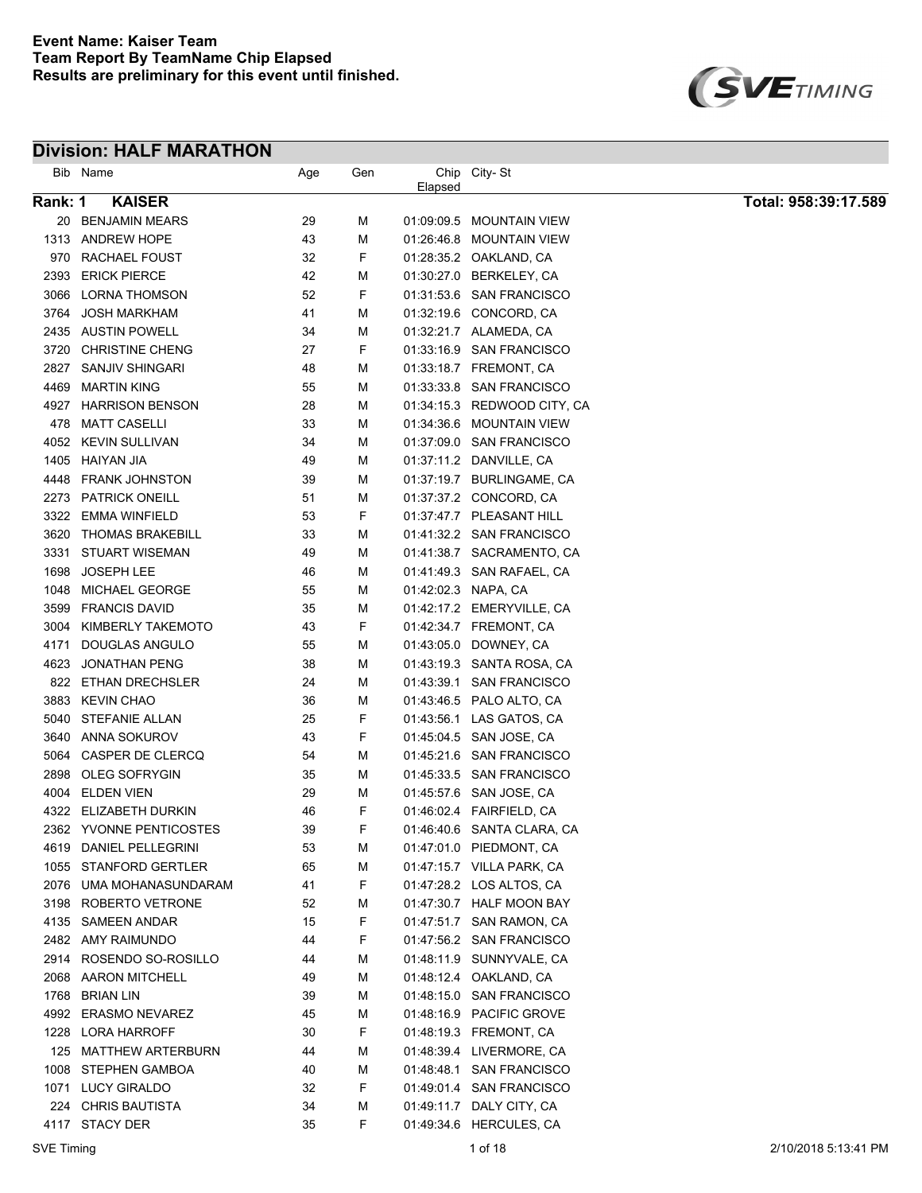

| Bib     | Name                    | Age | Gen |                     | Chip City-St                |                      |
|---------|-------------------------|-----|-----|---------------------|-----------------------------|----------------------|
| Rank: 1 | <b>KAISER</b>           |     |     | Elapsed             |                             | Total: 958:39:17.589 |
|         | 20 BENJAMIN MEARS       | 29  | М   |                     | 01:09:09.5 MOUNTAIN VIEW    |                      |
|         | 1313 ANDREW HOPE        | 43  | М   |                     | 01:26:46.8 MOUNTAIN VIEW    |                      |
| 970     | RACHAEL FOUST           | 32  | F   |                     | 01.28:35.2 OAKLAND, CA      |                      |
| 2393    | <b>ERICK PIERCE</b>     | 42  | М   |                     | 01:30:27.0 BERKELEY, CA     |                      |
| 3066    | <b>LORNA THOMSON</b>    | 52  | F   |                     | 01:31:53.6 SAN FRANCISCO    |                      |
| 3764    | <b>JOSH MARKHAM</b>     | 41  | M   |                     | 01:32:19.6 CONCORD, CA      |                      |
|         | 2435 AUSTIN POWELL      | 34  | М   |                     | 01:32:21.7 ALAMEDA, CA      |                      |
| 3720    | <b>CHRISTINE CHENG</b>  | 27  | F   |                     | 01:33:16.9 SAN FRANCISCO    |                      |
| 2827    | SANJIV SHINGARI         | 48  | М   |                     | 01:33:18.7 FREMONT, CA      |                      |
| 4469    | <b>MARTIN KING</b>      | 55  | М   |                     | 01:33:33.8 SAN FRANCISCO    |                      |
|         | 4927 HARRISON BENSON    | 28  | М   |                     | 01:34:15.3 REDWOOD CITY, CA |                      |
| 478     | <b>MATT CASELLI</b>     | 33  | М   |                     | 01:34:36.6 MOUNTAIN VIEW    |                      |
|         | 4052 KEVIN SULLIVAN     | 34  | М   |                     | 01:37:09.0 SAN FRANCISCO    |                      |
|         | 1405 HAIYAN JIA         | 49  | М   |                     | 01:37:11.2 DANVILLE, CA     |                      |
| 4448    | <b>FRANK JOHNSTON</b>   | 39  | М   |                     | 01:37:19.7 BURLINGAME, CA   |                      |
| 2273    | <b>PATRICK ONEILL</b>   | 51  | М   |                     | 01:37:37.2 CONCORD, CA      |                      |
| 3322    | EMMA WINFIELD           | 53  | F   |                     | 01:37:47.7 PLEASANT HILL    |                      |
| 3620    | <b>THOMAS BRAKEBILL</b> | 33  | М   |                     | 01:41:32.2 SAN FRANCISCO    |                      |
| 3331    | STUART WISEMAN          | 49  | М   |                     | 01:41:38.7 SACRAMENTO, CA   |                      |
| 1698    | JOSEPH LEE              | 46  | М   |                     | 01:41:49.3 SAN RAFAEL, CA   |                      |
| 1048    | <b>MICHAEL GEORGE</b>   | 55  | М   | 01.42.02.3 NAPA, CA |                             |                      |
| 3599    | <b>FRANCIS DAVID</b>    | 35  | M   |                     | 01:42:17.2 EMERYVILLE, CA   |                      |
| 3004    | KIMBERLY TAKEMOTO       | 43  | F   |                     | 01:42:34.7 FREMONT, CA      |                      |
| 4171    | DOUGLAS ANGULO          | 55  | M   |                     | 01:43:05.0 DOWNEY, CA       |                      |
| 4623    | JONATHAN PENG           | 38  | M   |                     | 01:43:19.3 SANTA ROSA, CA   |                      |
| 822     | ETHAN DRECHSLER         | 24  | M   |                     | 01:43:39.1 SAN FRANCISCO    |                      |
| 3883    | <b>KEVIN CHAO</b>       | 36  | M   |                     | 01:43:46.5 PALO ALTO, CA    |                      |
| 5040    | <b>STEFANIE ALLAN</b>   | 25  | F   |                     | 01:43:56.1 LAS GATOS, CA    |                      |
|         | 3640 ANNA SOKUROV       | 43  | F   |                     | 01:45:04.5 SAN JOSE, CA     |                      |
| 5064    | CASPER DE CLERCQ        | 54  | М   |                     | 01:45:21.6 SAN FRANCISCO    |                      |
| 2898    | OLEG SOFRYGIN           | 35  | М   |                     | 01:45:33.5 SAN FRANCISCO    |                      |
| 4004    | <b>ELDEN VIEN</b>       | 29  | M   |                     | 01:45:57.6 SAN JOSE, CA     |                      |
| 4322    | ELIZABETH DURKIN        | 46  | F   |                     |                             |                      |
|         | 2362 YVONNE PENTICOSTES | 39  | F   |                     | 01:46:40.6 SANTA CLARA, CA  |                      |
|         | 4619 DANIEL PELLEGRINI  | 53  | М   |                     | 01:47:01.0 PIEDMONT, CA     |                      |
|         | 1055 STANFORD GERTLER   | 65  | М   |                     | 01:47:15.7 VILLA PARK, CA   |                      |
|         | 2076 UMA MOHANASUNDARAM | 41  | F   |                     | 01:47:28.2 LOS ALTOS, CA    |                      |
|         | 3198 ROBERTO VETRONE    | 52  | М   |                     | 01:47:30.7 HALF MOON BAY    |                      |
|         | 4135 SAMEEN ANDAR       | 15  | F   |                     | 01:47:51.7 SAN RAMON, CA    |                      |
|         | 2482 AMY RAIMUNDO       | 44  | F   |                     | 01:47:56.2 SAN FRANCISCO    |                      |
|         | 2914 ROSENDO SO-ROSILLO | 44  | М   |                     | 01:48:11.9 SUNNYVALE, CA    |                      |
|         | 2068 AARON MITCHELL     | 49  | М   |                     | 01:48:12.4 OAKLAND, CA      |                      |
|         | 1768 BRIAN LIN          | 39  | М   |                     | 01:48:15.0 SAN FRANCISCO    |                      |
|         | 4992 ERASMO NEVAREZ     | 45  | М   |                     | 01:48:16.9 PACIFIC GROVE    |                      |
|         | 1228 LORA HARROFF       | 30  | F   |                     | 01:48:19.3 FREMONT, CA      |                      |
|         | 125 MATTHEW ARTERBURN   | 44  | M   |                     | 01:48:39.4 LIVERMORE, CA    |                      |
|         | 1008 STEPHEN GAMBOA     | 40  | M   |                     | 01:48:48.1 SAN FRANCISCO    |                      |
|         | 1071 LUCY GIRALDO       | 32  | F   |                     | 01:49:01.4 SAN FRANCISCO    |                      |
|         | 224 CHRIS BAUTISTA      | 34  | M   |                     | 01:49:11.7 DALY CITY, CA    |                      |
|         | 4117 STACY DER          | 35  | F   |                     | 01:49:34.6 HERCULES, CA     |                      |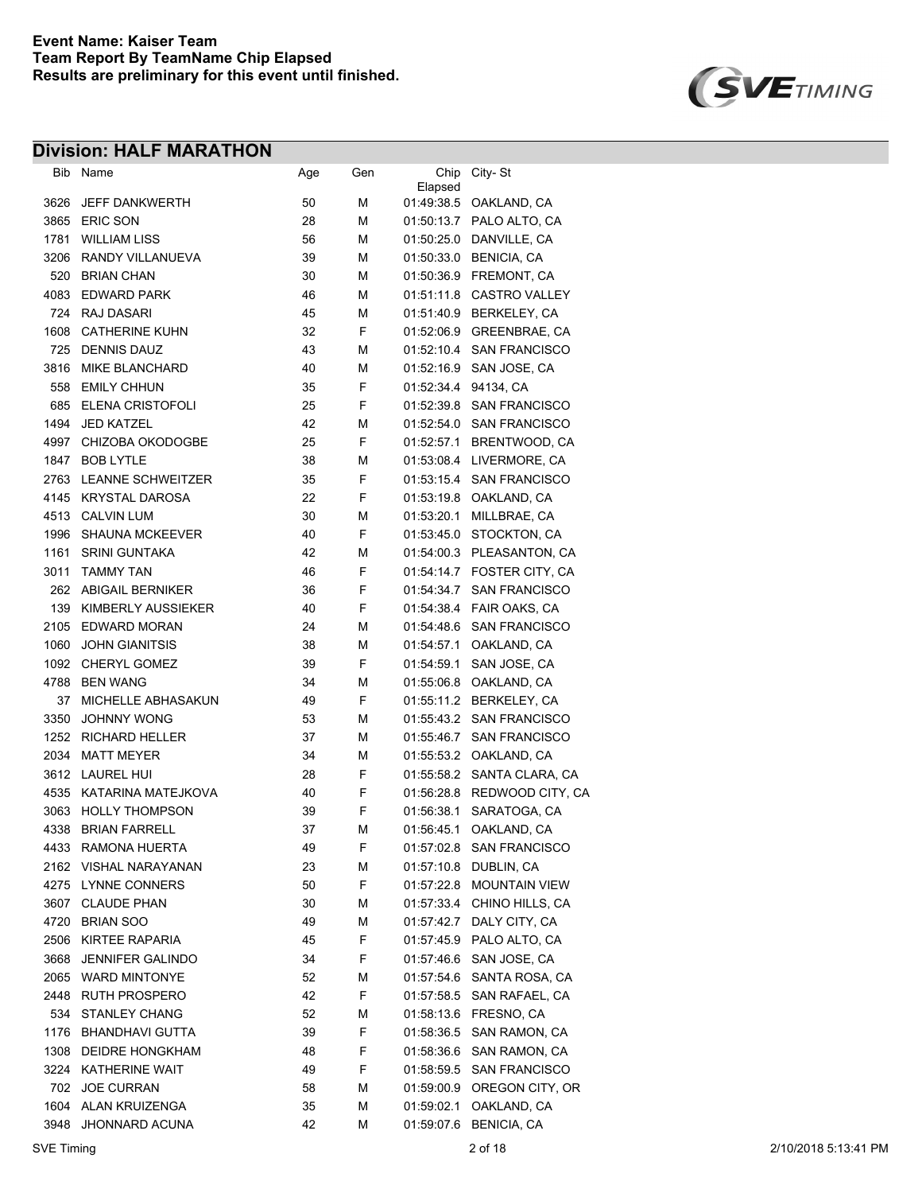

| Bib  | Name                    | Age | Gen | Chip       | City-St                   |
|------|-------------------------|-----|-----|------------|---------------------------|
|      |                         |     |     | Elapsed    |                           |
| 3626 | <b>JEFF DANKWERTH</b>   | 50  | М   |            | 01:49:38.5 OAKLAND, CA    |
| 3865 | <b>ERIC SON</b>         | 28  | М   |            | 01:50:13.7 PALO ALTO, CA  |
| 1781 | <b>WILLIAM LISS</b>     | 56  | М   | 01:50:25.0 | DANVILLE, CA              |
| 3206 | RANDY VILLANUEVA        | 39  | М   | 01:50:33.0 | <b>BENICIA, CA</b>        |
| 520  | <b>BRIAN CHAN</b>       | 30  | М   | 01:50:36.9 | FREMONT, CA               |
| 4083 | <b>EDWARD PARK</b>      | 46  | М   | 01:51:11.8 | <b>CASTRO VALLEY</b>      |
| 724  | <b>RAJ DASARI</b>       | 45  | М   | 01:51:40.9 | BERKELEY, CA              |
| 1608 | <b>CATHERINE KUHN</b>   | 32  | F   | 01:52:06.9 | <b>GREENBRAE, CA</b>      |
| 725  | <b>DENNIS DAUZ</b>      | 43  | М   | 01:52:10.4 | <b>SAN FRANCISCO</b>      |
| 3816 | <b>MIKE BLANCHARD</b>   | 40  | М   | 01:52:16.9 | SAN JOSE, CA              |
| 558  | <b>EMILY CHHUN</b>      | 35  | F   | 01.52.34.4 | 94134, CA                 |
| 685  | ELENA CRISTOFOLI        | 25  | F   | 01:52:39.8 | <b>SAN FRANCISCO</b>      |
| 1494 | <b>JED KATZEL</b>       | 42  | М   | 01:52:54.0 | <b>SAN FRANCISCO</b>      |
| 4997 | CHIZOBA OKODOGBE        | 25  | F   | 01:52:57.1 | BRENTWOOD, CA             |
| 1847 | <b>BOB LYTLE</b>        | 38  | М   |            | 01:53:08.4 LIVERMORE, CA  |
| 2763 | LEANNE SCHWEITZER       | 35  | F   | 01:53:15.4 | <b>SAN FRANCISCO</b>      |
| 4145 | KRYSTAL DAROSA          | 22  | F   |            | 01:53:19.8 OAKLAND, CA    |
|      | 4513 CALVIN LUM         | 30  | М   | 01:53:20.1 | MILLBRAE, CA              |
| 1996 | <b>SHAUNA MCKEEVER</b>  | 40  | F   | 01:53:45.0 | STOCKTON, CA              |
| 1161 | <b>SRINI GUNTAKA</b>    | 42  | М   |            | 01:54:00.3 PLEASANTON, CA |
| 3011 | <b>TAMMY TAN</b>        | 46  | F   | 01:54:14.7 | FOSTER CITY, CA           |
|      | 262 ABIGAIL BERNIKER    | 36  | F   | 01:54:34.7 | <b>SAN FRANCISCO</b>      |
| 139  | KIMBERLY AUSSIEKER      | 40  | F   |            | 01:54:38.4 FAIR OAKS, CA  |
| 2105 | <b>EDWARD MORAN</b>     | 24  | М   |            | 01:54:48.6 SAN FRANCISCO  |
| 1060 | <b>JOHN GIANITSIS</b>   | 38  | М   | 01:54:57.1 | OAKLAND, CA               |
| 1092 | CHERYL GOMEZ            | 39  | F   | 01:54:59.1 | SAN JOSE, CA              |
| 4788 | <b>BEN WANG</b>         | 34  | М   | 01:55:06.8 | OAKLAND, CA               |
| 37   | MICHELLE ABHASAKUN      | 49  | F   | 01:55:11.2 | BERKELEY, CA              |
| 3350 | <b>JOHNNY WONG</b>      | 53  | М   | 01:55:43.2 | <b>SAN FRANCISCO</b>      |
| 1252 | <b>RICHARD HELLER</b>   | 37  | М   | 01:55:46.7 | <b>SAN FRANCISCO</b>      |
| 2034 | <b>MATT MEYER</b>       | 34  | М   | 01:55:53.2 | OAKLAND, CA               |
| 3612 | <b>LAUREL HUI</b>       | 28  | F   | 01:55:58.2 | SANTA CLARA, CA           |
| 4535 | KATARINA MATEJKOVA      | 40  | F   | 01:56:28.8 | REDWOOD CITY, CA          |
| 3063 | <b>HOLLY THOMPSON</b>   | 39  | F   | 01:56:38.1 | SARATOGA, CA              |
| 4338 | <b>BRIAN FARRELL</b>    | 37  | М   | 01:56:45.1 | OAKLAND, CA               |
| 4433 | <b>RAMONA HUERTA</b>    | 49  | F   | 01:57:02.8 | <b>SAN FRANCISCO</b>      |
| 2162 | <b>VISHAL NARAYANAN</b> | 23  | M   | 01:57:10.8 | DUBLIN, CA                |
| 4275 | <b>LYNNE CONNERS</b>    | 50  | F   | 01:57:22.8 | MOUNTAIN VIEW             |
| 3607 | <b>CLAUDE PHAN</b>      | 30  | М   | 01:57:33.4 | CHINO HILLS, CA           |
| 4720 | <b>BRIAN SOO</b>        | 49  | М   | 01:57:42.7 | DALY CITY, CA             |
| 2506 | KIRTEE RAPARIA          | 45  | F   | 01:57:45.9 | PALO ALTO, CA             |
| 3668 | <b>JENNIFER GALINDO</b> | 34  | F   | 01:57:46.6 | SAN JOSE, CA              |
| 2065 | <b>WARD MINTONYE</b>    | 52  | М   | 01:57:54.6 | SANTA ROSA, CA            |
| 2448 | <b>RUTH PROSPERO</b>    | 42  | F   | 01:57:58.5 | SAN RAFAEL, CA            |
| 534  | <b>STANLEY CHANG</b>    | 52  | М   | 01:58:13.6 | FRESNO, CA                |
| 1176 | <b>BHANDHAVI GUTTA</b>  | 39  | F   | 01:58:36.5 | SAN RAMON, CA             |
| 1308 | <b>DEIDRE HONGKHAM</b>  | 48  | F   | 01:58:36.6 | SAN RAMON, CA             |
| 3224 | <b>KATHERINE WAIT</b>   | 49  | F   | 01:58:59.5 | <b>SAN FRANCISCO</b>      |
| 702  | <b>JOE CURRAN</b>       | 58  | M   | 01:59:00.9 | OREGON CITY, OR           |
| 1604 | ALAN KRUIZENGA          | 35  | M   | 01:59:02.1 | OAKLAND, CA               |
| 3948 | JHONNARD ACUNA          | 42  | М   | 01:59:07.6 | <b>BENICIA, CA</b>        |
|      |                         |     |     |            |                           |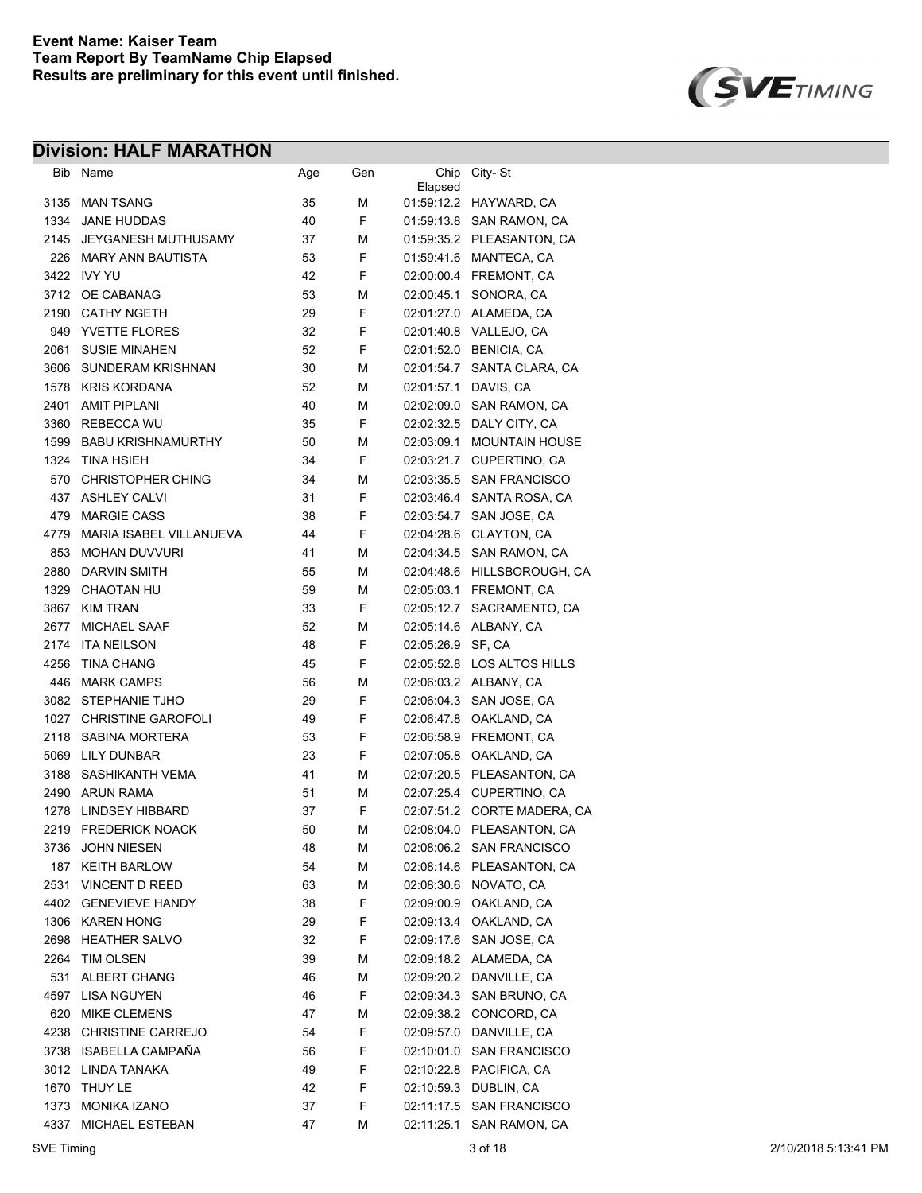

| Bib          | Name                       | Age      | Gen    | Chip              | City-St                                          |
|--------------|----------------------------|----------|--------|-------------------|--------------------------------------------------|
| 3135         | <b>MAN TSANG</b>           | 35       | М      | Elapsed           | 01:59:12.2 HAYWARD, CA                           |
| 1334         | <b>JANE HUDDAS</b>         | 40       | F      |                   | 01:59:13.8 SAN RAMON, CA                         |
| 2145         | <b>JEYGANESH MUTHUSAMY</b> | 37       | М      |                   | 01:59:35.2 PLEASANTON, CA                        |
| 226          | <b>MARY ANN BAUTISTA</b>   | 53       | F      |                   | 01:59:41.6 MANTECA, CA                           |
| 3422         | IVY YU                     | 42       | F      |                   | 02.00.00.4 FREMONT, CA                           |
| 3712         | OE CABANAG                 | 53       | М      |                   | SONORA, CA                                       |
| 2190         | <b>CATHY NGETH</b>         | 29       | F      | 02:00:45.1        | 02.01.27.0 ALAMEDA, CA                           |
|              | <b>YVETTE FLORES</b>       |          | F      |                   |                                                  |
| 949          | <b>SUSIE MINAHEN</b>       | 32       | F      |                   | 02.01.40.8 VALLEJO, CA<br>02:01:52.0 BENICIA, CA |
| 2061<br>3606 | <b>SUNDERAM KRISHNAN</b>   | 52<br>30 | М      | 02:01:54.7        | SANTA CLARA, CA                                  |
|              | <b>KRIS KORDANA</b>        |          | М      |                   |                                                  |
| 1578         |                            | 52       |        | 02:01:57.1        | DAVIS, CA                                        |
| 2401         | <b>AMIT PIPLANI</b>        | 40       | М<br>F | 02:02:09.0        | SAN RAMON, CA                                    |
| 3360         | <b>REBECCA WU</b>          | 35       |        |                   | 02:02:32.5 DALY CITY, CA                         |
| 1599         | <b>BABU KRISHNAMURTHY</b>  | 50       | М      | 02:03:09.1        | <b>MOUNTAIN HOUSE</b>                            |
| 1324         | <b>TINA HSIEH</b>          | 34       | F      | 02:03:21.7        | CUPERTINO, CA                                    |
| 570          | <b>CHRISTOPHER CHING</b>   | 34       | М      | 02:03:35.5        | <b>SAN FRANCISCO</b>                             |
| 437          | <b>ASHLEY CALVI</b>        | 31       | F      | 02:03:46.4        | SANTA ROSA, CA                                   |
| 479          | <b>MARGIE CASS</b>         | 38       | F      | 02:03:54.7        | SAN JOSE, CA                                     |
| 4779         | MARIA ISABEL VILLANUEVA    | 44       | F      | 02:04:28.6        | CLAYTON, CA                                      |
| 853          | <b>MOHAN DUVVURI</b>       | 41       | М      | 02:04:34.5        | SAN RAMON, CA                                    |
| 2880         | DARVIN SMITH               | 55       | М      | 02:04:48.6        | HILLSBOROUGH, CA                                 |
| 1329         | <b>CHAOTAN HU</b>          | 59       | М      | 02:05:03.1        | FREMONT, CA                                      |
| 3867         | <b>KIM TRAN</b>            | 33       | F      | 02:05:12.7        | SACRAMENTO, CA                                   |
| 2677         | <b>MICHAEL SAAF</b>        | 52       | М      | 02:05:14.6        | ALBANY, CA                                       |
| 2174         | <b>ITA NEILSON</b>         | 48       | F      | 02.05.26.9 SF, CA |                                                  |
| 4256         | <b>TINA CHANG</b>          | 45       | F      |                   | 02:05:52.8 LOS ALTOS HILLS                       |
| 446          | <b>MARK CAMPS</b>          | 56       | М      |                   | 02.06:03.2 ALBANY, CA                            |
| 3082         | STEPHANIE TJHO             | 29       | F      |                   | 02.06.04.3 SAN JOSE, CA                          |
| 1027         | <b>CHRISTINE GAROFOLI</b>  | 49       | F      |                   | 02.06.47.8 OAKLAND, CA                           |
| 2118         | <b>SABINA MORTERA</b>      | 53       | F      |                   | 02.06.58.9 FREMONT, CA                           |
| 5069         | LILY DUNBAR                | 23       | F      | 02:07:05.8        | OAKLAND, CA                                      |
| 3188         | SASHIKANTH VEMA            | 41       | М      |                   | 02:07:20.5 PLEASANTON, CA                        |
| 2490         | <b>ARUN RAMA</b>           | 51       | м      |                   | 02:07:25.4 CUPERTINO, CA                         |
| 1278         | <b>LINDSEY HIBBARD</b>     | 37       | F      |                   | 02:07:51.2 CORTE MADERA, CA                      |
| 2219         | <b>FREDERICK NOACK</b>     | 50       | М      |                   | 02:08:04.0 PLEASANTON, CA                        |
|              | 3736 JOHN NIESEN           | 48       | М      |                   | 02:08:06.2 SAN FRANCISCO                         |
| 187          | <b>KEITH BARLOW</b>        | 54       | М      |                   | 02:08:14.6 PLEASANTON, CA                        |
| 2531         | VINCENT D REED             | 63       | М      |                   | 02:08:30.6 NOVATO, CA                            |
| 4402         | <b>GENEVIEVE HANDY</b>     | 38       | F      |                   | 02.09.00.9 OAKLAND, CA                           |
| 1306         | <b>KAREN HONG</b>          | 29       | F      |                   | 02:09:13.4 OAKLAND, CA                           |
| 2698         | <b>HEATHER SALVO</b>       | 32       | F      |                   | 02:09:17.6 SAN JOSE, CA                          |
| 2264         | TIM OLSEN                  | 39       | М      |                   | 02:09:18.2 ALAMEDA, CA                           |
| 531          | ALBERT CHANG               | 46       | М      |                   | 02:09:20.2 DANVILLE, CA                          |
| 4597         | <b>LISA NGUYEN</b>         | 46       | F      |                   | 02:09:34.3 SAN BRUNO, CA                         |
| 620          | <b>MIKE CLEMENS</b>        | 47       | М      |                   | 02:09:38.2 CONCORD, CA                           |
| 4238         | CHRISTINE CARREJO          | 54       | F      |                   | 02:09:57.0 DANVILLE, CA                          |
| 3738         | ISABELLA CAMPAÑA           | 56       | F      |                   | 02:10:01.0 SAN FRANCISCO                         |
| 3012         | LINDA TANAKA               | 49       | F      |                   | 02:10:22.8 PACIFICA, CA                          |
| 1670         | THUY LE                    | 42       | F      |                   | 02:10:59.3 DUBLIN, CA                            |
| 1373         | <b>MONIKA IZANO</b>        | 37       | F      |                   | 02:11:17.5 SAN FRANCISCO                         |
| 4337         | MICHAEL ESTEBAN            | 47       | М      | 02:11:25.1        | SAN RAMON, CA                                    |
|              |                            |          |        |                   |                                                  |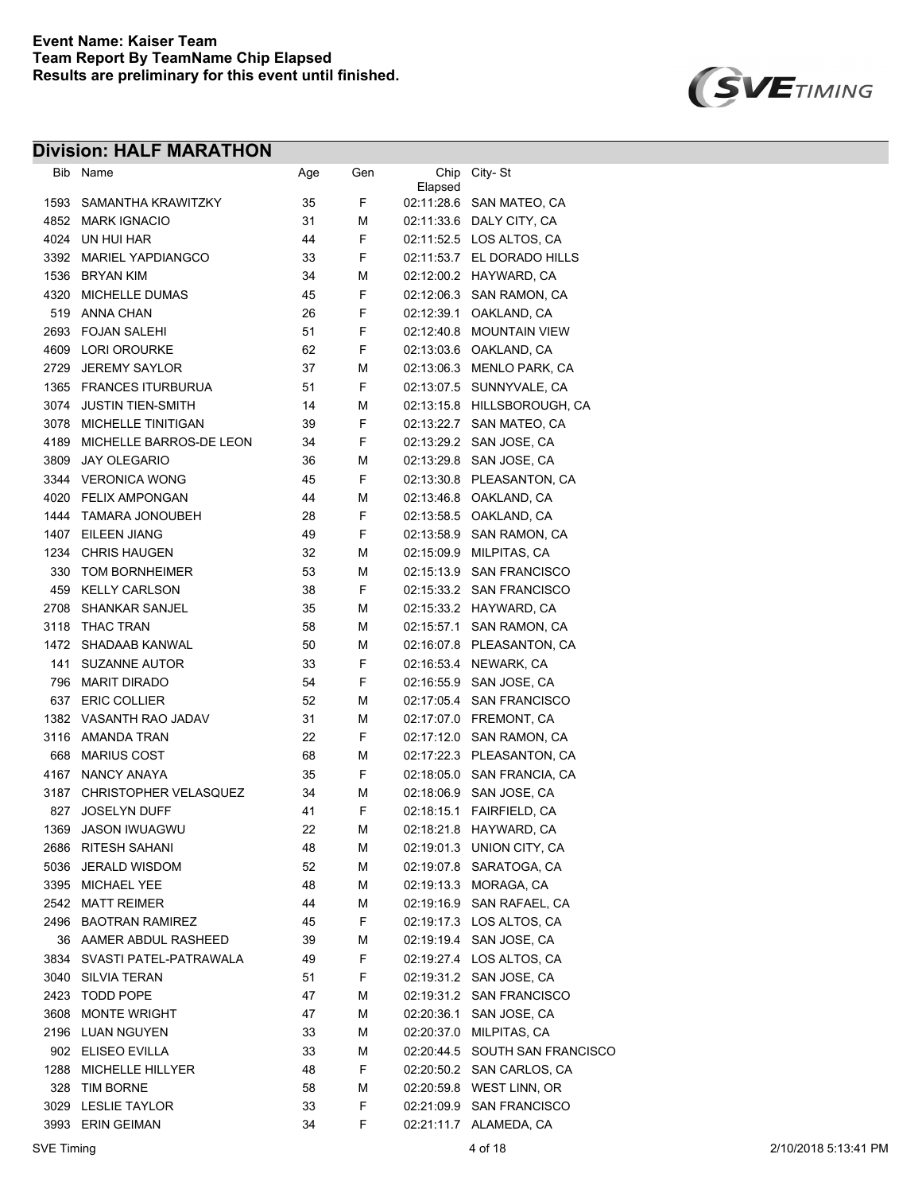

|      | Bib Name                     | Age | Gen | Chip<br>Elapsed | City-St                        |
|------|------------------------------|-----|-----|-----------------|--------------------------------|
| 1593 | SAMANTHA KRAWITZKY           | 35  | F   |                 | 02:11:28.6 SAN MATEO, CA       |
| 4852 | <b>MARK IGNACIO</b>          | 31  | М   |                 | 02:11:33.6 DALY CITY, CA       |
|      | 4024 UN HUI HAR              | 44  | F   |                 | 02:11:52.5 LOS ALTOS, CA       |
| 3392 | <b>MARIEL YAPDIANGCO</b>     | 33  | F   |                 | 02:11:53.7 EL DORADO HILLS     |
|      | 1536 BRYAN KIM               | 34  | М   |                 | 02:12:00.2 HAYWARD, CA         |
| 4320 | MICHELLE DUMAS               | 45  | F   |                 | 02:12:06.3 SAN RAMON, CA       |
| 519  | <b>ANNA CHAN</b>             | 26  | F   | 02:12:39.1      | OAKLAND, CA                    |
| 2693 | <b>FOJAN SALEHI</b>          | 51  | F   | 02:12:40.8      | <b>MOUNTAIN VIEW</b>           |
|      | 4609 LORI OROURKE            | 62  | F   |                 | 02:13:03.6 OAKLAND, CA         |
| 2729 | <b>JEREMY SAYLOR</b>         | 37  | М   |                 | 02:13:06.3 MENLO PARK, CA      |
|      | 1365 FRANCES ITURBURUA       | 51  | F   |                 | 02:13:07.5 SUNNYVALE, CA       |
| 3074 | <b>JUSTIN TIEN-SMITH</b>     | 14  | М   |                 | 02:13:15.8 HILLSBOROUGH, CA    |
|      | 3078 MICHELLE TINITIGAN      | 39  | F   |                 | 02:13:22.7 SAN MATEO, CA       |
|      | 4189 MICHELLE BARROS-DE LEON | 34  | F   |                 | 02.13.29.2 SAN JOSE, CA        |
| 3809 | <b>JAY OLEGARIO</b>          | 36  | М   |                 | 02:13:29.8 SAN JOSE, CA        |
|      | 3344 VERONICA WONG           | 45  | F   |                 | 02:13:30.8 PLEASANTON, CA      |
|      | 4020 FELIX AMPONGAN          | 44  | М   |                 | 02:13:46.8 OAKLAND, CA         |
| 1444 | TAMARA JONOUBEH              | 28  | F   |                 | 02:13:58.5 OAKLAND, CA         |
|      | 1407 EILEEN JIANG            | 49  | F   |                 | 02:13:58.9 SAN RAMON, CA       |
|      | 1234 CHRIS HAUGEN            | 32  | М   |                 | 02:15:09.9 MILPITAS, CA        |
| 330  | <b>TOM BORNHEIMER</b>        | 53  | М   |                 | 02:15:13.9 SAN FRANCISCO       |
|      | 459 KELLY CARLSON            | 38  | F   |                 | 02:15:33.2 SAN FRANCISCO       |
|      | 2708 SHANKAR SANJEL          | 35  | М   |                 | 02.15:33.2 HAYWARD, CA         |
| 3118 | THAC TRAN                    | 58  | М   |                 | 02:15:57.1 SAN RAMON, CA       |
| 1472 | SHADAAB KANWAL               | 50  | М   |                 | 02:16:07.8 PLEASANTON, CA      |
| 141  | <b>SUZANNE AUTOR</b>         | 33  | F   |                 | 02:16:53.4 NEWARK, CA          |
| 796  | <b>MARIT DIRADO</b>          | 54  | F   | 02:16:55.9      | SAN JOSE, CA                   |
| 637  | <b>ERIC COLLIER</b>          | 52  | м   | 02:17:05.4      | <b>SAN FRANCISCO</b>           |
|      | 1382 VASANTH RAO JADAV       | 31  | М   |                 | 02:17:07.0 FREMONT, CA         |
|      | 3116 AMANDA TRAN             | 22  | F   |                 | 02:17:12.0 SAN RAMON, CA       |
| 668  | <b>MARIUS COST</b>           | 68  | М   |                 | 02:17:22.3 PLEASANTON, CA      |
| 4167 | <b>NANCY ANAYA</b>           | 35  | F   | 02:18:05.0      | SAN FRANCIA, CA                |
| 3187 | <b>CHRISTOPHER VELASQUEZ</b> | 34  | М   | 02:18:06.9      | SAN JOSE, CA                   |
| 827  | <b>JOSELYN DUFF</b>          | 41  | F   | 02:18:15.1      | FAIRFIELD, CA                  |
| 1369 | <b>JASON IWUAGWU</b>         | 22  | М   |                 | 02:18:21.8 HAYWARD, CA         |
|      | 2686 RITESH SAHANI           | 48  | М   | 02:19:01.3      | UNION CITY, CA                 |
| 5036 | <b>JERALD WISDOM</b>         | 52  | М   |                 | 02:19:07.8 SARATOGA, CA        |
|      | 3395 MICHAEL YEE             | 48  | М   |                 | 02:19:13.3 MORAGA, CA          |
|      | 2542 MATT REIMER             | 44  | М   |                 | 02:19:16.9 SAN RAFAEL, CA      |
|      | 2496 BAOTRAN RAMIREZ         | 45  | F   |                 | 02:19:17.3 LOS ALTOS, CA       |
|      | 36 AAMER ABDUL RASHEED       | 39  | М   |                 | 02:19:19.4 SAN JOSE, CA        |
|      | 3834 SVASTI PATEL-PATRAWALA  | 49  | F   |                 | 02:19:27.4 LOS ALTOS, CA       |
|      | 3040 SILVIA TERAN            | 51  | F   |                 | 02:19:31.2 SAN JOSE, CA        |
| 2423 | TODD POPE                    | 47  | М   |                 | 02:19:31.2 SAN FRANCISCO       |
|      | 3608 MONTE WRIGHT            | 47  | М   | 02:20:36.1      | SAN JOSE, CA                   |
|      | 2196 LUAN NGUYEN             | 33  | М   | 02:20:37.0      | MILPITAS, CA                   |
|      | 902 ELISEO EVILLA            | 33  | M   |                 | 02:20:44.5 SOUTH SAN FRANCISCO |
|      | 1288 MICHELLE HILLYER        | 48  | F   |                 | 02:20:50.2 SAN CARLOS, CA      |
|      | 328 TIM BORNE                | 58  | М   |                 | 02:20:59.8 WEST LINN, OR       |
|      | 3029 LESLIE TAYLOR           | 33  | F   |                 | 02:21:09.9 SAN FRANCISCO       |
|      | 3993 ERIN GEIMAN             | 34  | F   |                 | 02:21:11.7 ALAMEDA, CA         |
|      |                              |     |     |                 |                                |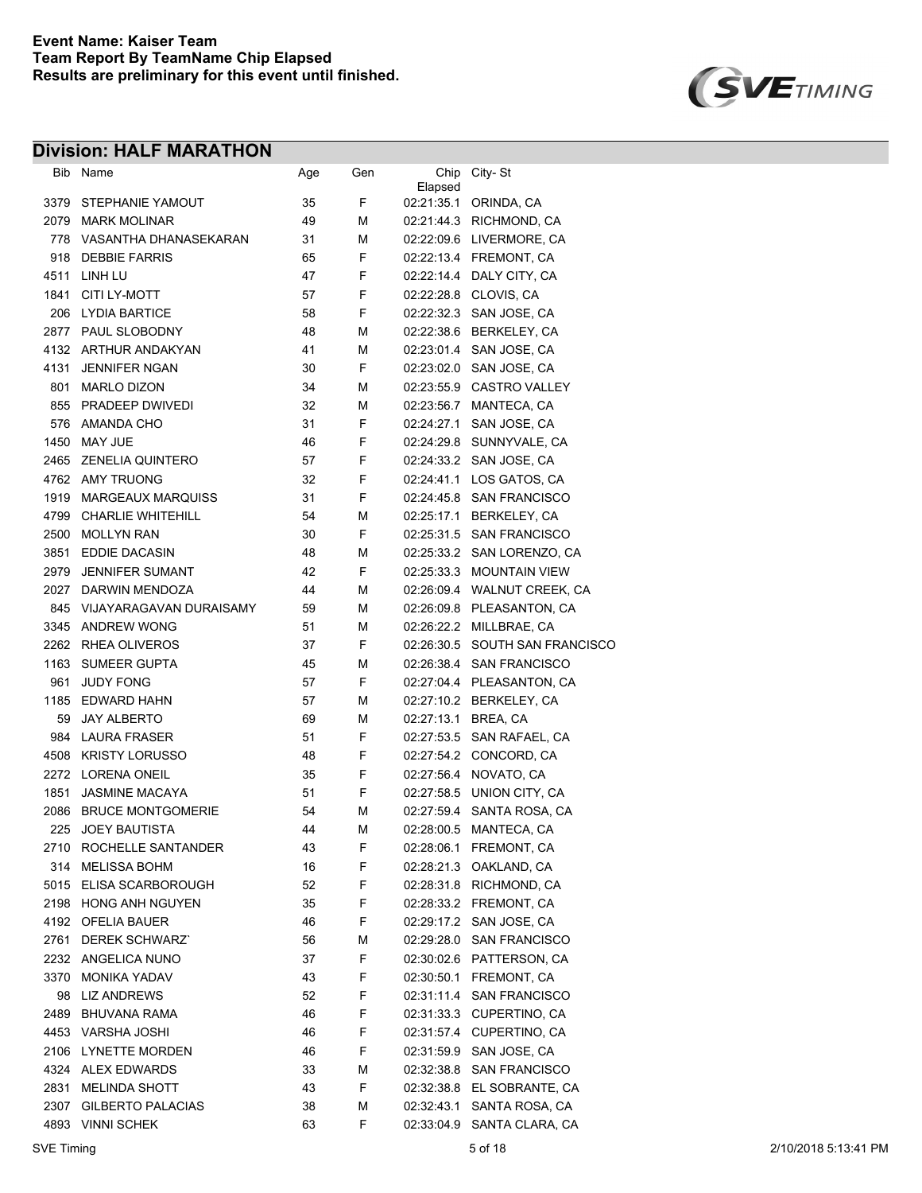

|      | Bib Name                    | Age | Gen | Chip<br>Elapsed     | City-St                        |
|------|-----------------------------|-----|-----|---------------------|--------------------------------|
|      | 3379 STEPHANIE YAMOUT       | 35  | F   |                     | 02.21:35.1 ORINDA, CA          |
|      | 2079 MARK MOLINAR           | 49  | М   |                     | 02:21:44.3 RICHMOND, CA        |
|      | 778 VASANTHA DHANASEKARAN   | 31  | М   |                     | 02:22:09.6 LIVERMORE, CA       |
|      | 918 DEBBIE FARRIS           | 65  | F   |                     | 02.22.13.4 FREMONT, CA         |
| 4511 | LINH LU                     | 47  | F   |                     | 02:22:14.4 DALY CITY, CA       |
| 1841 | CITI LY-MOTT                | 57  | F   |                     | 02.22.28.8 CLOVIS, CA          |
|      | 206 LYDIA BARTICE           | 58  | F   |                     | 02.22.32.3 SAN JOSE, CA        |
|      | 2877 PAUL SLOBODNY          | 48  | М   |                     | 02:22:38.6 BERKELEY, CA        |
|      | 4132 ARTHUR ANDAKYAN        | 41  | М   |                     | 02.23.01.4 SAN JOSE, CA        |
| 4131 | <b>JENNIFER NGAN</b>        | 30  | F   |                     | 02.23.02.0 SAN JOSE, CA        |
| 801  | <b>MARLO DIZON</b>          | 34  | М   |                     | 02:23:55.9 CASTRO VALLEY       |
|      | 855 PRADEEP DWIVEDI         | 32  | М   | 02:23:56.7          | MANTECA, CA                    |
| 576  | AMANDA CHO                  | 31  | F   | 02:24:27.1          | SAN JOSE, CA                   |
| 1450 | MAY JUE                     | 46  | F   | 02:24:29.8          | SUNNYVALE, CA                  |
|      | 2465 ZENELIA QUINTERO       | 57  | F   |                     | 02.24:33.2 SAN JOSE, CA        |
|      | 4762 AMY TRUONG             | 32  | F   | 02:24:41.1          | LOS GATOS, CA                  |
| 1919 | <b>MARGEAUX MARQUISS</b>    | 31  | F   |                     | 02:24:45.8 SAN FRANCISCO       |
| 4799 | <b>CHARLIE WHITEHILL</b>    | 54  | М   |                     | 02:25:17.1 BERKELEY. CA        |
|      | 2500 MOLLYN RAN             | 30  | F   |                     | 02:25:31.5 SAN FRANCISCO       |
| 3851 | EDDIE DACASIN               | 48  | М   |                     | 02:25:33.2 SAN LORENZO, CA     |
| 2979 | <b>JENNIFER SUMANT</b>      | 42  | F   |                     | 02:25:33.3 MOUNTAIN VIEW       |
|      | 2027 DARWIN MENDOZA         | 44  | М   |                     | 02:26:09.4 WALNUT CREEK, CA    |
|      | 845 VIJAYARAGAVAN DURAISAMY | 59  | М   |                     | 02:26:09.8 PLEASANTON, CA      |
|      | 3345 ANDREW WONG            | 51  | М   |                     | 02.26.22.2 MILLBRAE, CA        |
|      | 2262 RHEA OLIVEROS          | 37  | F   |                     | 02:26:30.5 SOUTH SAN FRANCISCO |
|      | 1163 SUMEER GUPTA           | 45  | М   |                     | 02:26:38.4 SAN FRANCISCO       |
| 961  | <b>JUDY FONG</b>            | 57  | F   |                     | 02:27:04.4 PLEASANTON, CA      |
|      | 1185 EDWARD HAHN            | 57  | M   |                     | 02:27:10.2 BERKELEY, CA        |
| 59   | <b>JAY ALBERTO</b>          | 69  | М   | 02:27:13.1 BREA, CA |                                |
|      | 984 LAURA FRASER            | 51  | F   | 02:27:53.5          | SAN RAFAEL, CA                 |
|      | 4508 KRISTY LORUSSO         | 48  | F   |                     | 02:27:54.2 CONCORD, CA         |
|      | 2272 LORENA ONEIL           | 35  | F   |                     | 02.27:56.4 NOVATO, CA          |
| 1851 | <b>JASMINE MACAYA</b>       | 51  | F   |                     | 02:27:58.5 UNION CITY, CA      |
| 2086 | <b>BRUCE MONTGOMERIE</b>    | 54  | М   |                     | 02:27:59.4 SANTA ROSA, CA      |
| 225  | <b>JOEY BAUTISTA</b>        | 44  | М   |                     | 02:28:00.5 MANTECA, CA         |
|      | 2710 ROCHELLE SANTANDER     | 43  | F   |                     | 02:28:06.1 FREMONT, CA         |
| 314  | <b>MELISSA BOHM</b>         | 16  | F   |                     | 02:28:21.3 OAKLAND, CA         |
| 5015 | ELISA SCARBOROUGH           | 52  | F   |                     | 02:28:31.8 RICHMOND, CA        |
|      | 2198 HONG ANH NGUYEN        | 35  | F   |                     | 02:28:33.2 FREMONT, CA         |
|      | 4192 OFELIA BAUER           | 46  | F   |                     | 02:29:17.2 SAN JOSE, CA        |
| 2761 | <b>DEREK SCHWARZ'</b>       | 56  | М   |                     | 02:29:28.0 SAN FRANCISCO       |
|      | 2232 ANGELICA NUNO          | 37  | F   |                     | 02:30:02.6 PATTERSON, CA       |
| 3370 | <b>MONIKA YADAV</b>         | 43  | F   | 02:30:50.1          | FREMONT, CA                    |
|      | 98 LIZ ANDREWS              | 52  | F   |                     | 02:31:11.4 SAN FRANCISCO       |
|      | 2489 BHUVANA RAMA           | 46  | F   |                     | 02:31:33.3 CUPERTINO, CA       |
|      | 4453 VARSHA JOSHI           | 46  | F   |                     | 02:31:57.4 CUPERTINO, CA       |
|      | 2106 LYNETTE MORDEN         | 46  | F   |                     | 02:31:59.9 SAN JOSE, CA        |
|      | 4324 ALEX EDWARDS           | 33  | М   |                     | 02:32:38.8 SAN FRANCISCO       |
| 2831 | <b>MELINDA SHOTT</b>        | 43  | F   |                     | 02:32:38.8 EL SOBRANTE, CA     |
|      | 2307 GILBERTO PALACIAS      | 38  | M   | 02:32:43.1          | SANTA ROSA, CA                 |
|      | 4893 VINNI SCHEK            | 63  | F   | 02:33:04.9          | SANTA CLARA, CA                |
|      |                             |     |     |                     |                                |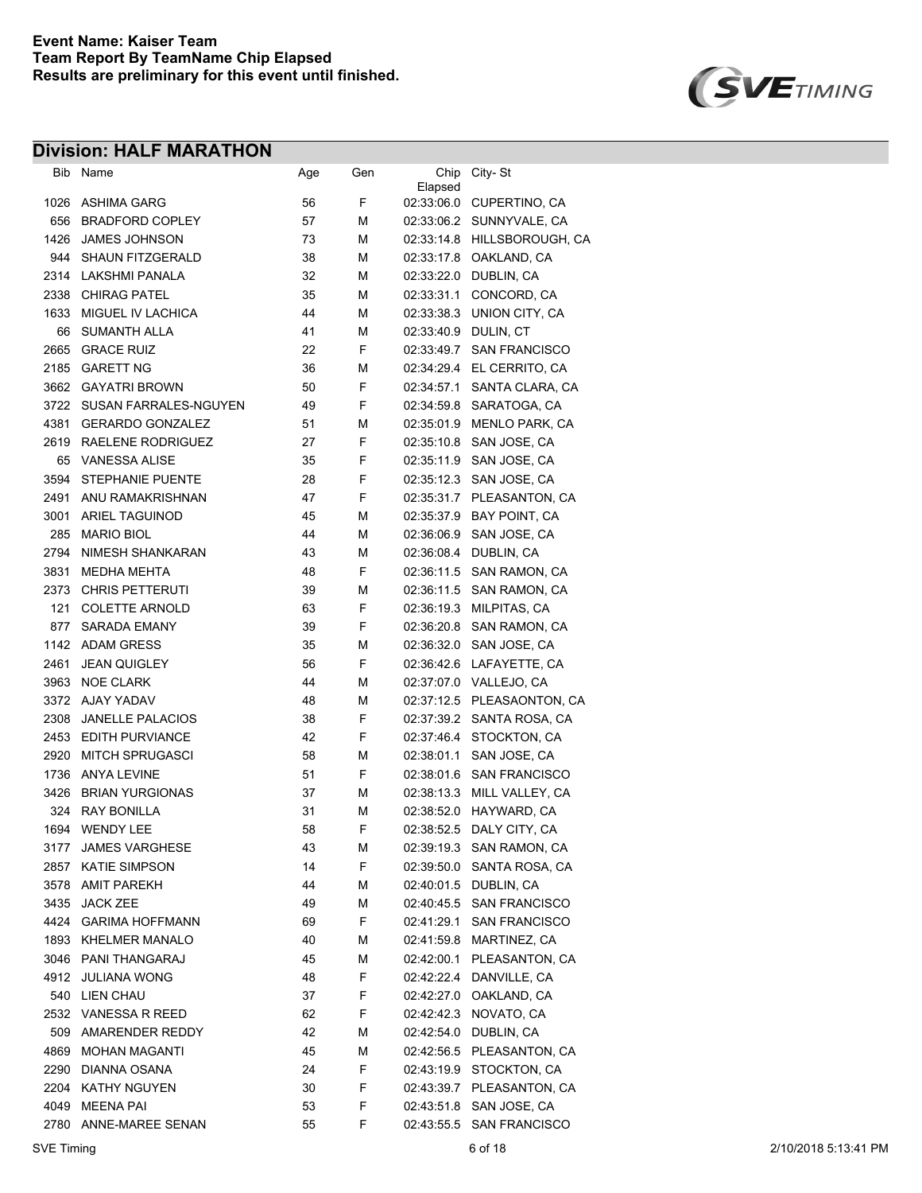

| Bib  | Name                                   | Age | Gen    | Chip       | City-St                     |
|------|----------------------------------------|-----|--------|------------|-----------------------------|
| 1026 | <b>ASHIMA GARG</b>                     | 56  | F      | Elapsed    | 02:33:06.0 CUPERTINO, CA    |
| 656  | <b>BRADFORD COPLEY</b>                 | 57  | М      |            | 02:33:06.2 SUNNYVALE, CA    |
| 1426 | <b>JAMES JOHNSON</b>                   | 73  | М      |            | 02:33:14.8 HILLSBOROUGH, CA |
| 944  | <b>SHAUN FITZGERALD</b>                | 38  | М      | 02:33:17.8 | OAKLAND, CA                 |
| 2314 | LAKSHMI PANALA                         | 32  | М      | 02:33:22.0 | DUBLIN, CA                  |
| 2338 | <b>CHIRAG PATEL</b>                    | 35  | М      | 02:33:31.1 | CONCORD, CA                 |
| 1633 | MIGUEL IV LACHICA                      | 44  | М      | 02:33:38.3 | UNION CITY, CA              |
| 66   | <b>SUMANTH ALLA</b>                    | 41  | М      | 02:33:40.9 | DULIN, CT                   |
| 2665 | <b>GRACE RUIZ</b>                      | 22  | F      | 02:33:49.7 | <b>SAN FRANCISCO</b>        |
| 2185 | <b>GARETT NG</b>                       | 36  | М      | 02:34:29.4 | EL CERRITO, CA              |
| 3662 | <b>GAYATRI BROWN</b>                   | 50  | F      | 02:34:57.1 | SANTA CLARA, CA             |
| 3722 | SUSAN FARRALES-NGUYEN                  | 49  | F      | 02:34:59.8 | SARATOGA, CA                |
| 4381 | <b>GERARDO GONZALEZ</b>                | 51  | М      | 02:35:01.9 | <b>MENLO PARK, CA</b>       |
| 2619 | RAELENE RODRIGUEZ                      | 27  | F      | 02:35:10.8 | SAN JOSE, CA                |
|      |                                        |     | F      |            |                             |
| 65   | <b>VANESSA ALISE</b>                   | 35  | F      | 02:35:11.9 | SAN JOSE, CA                |
| 3594 | STEPHANIE PUENTE                       | 28  |        | 02:35:12.3 | SAN JOSE, CA                |
| 2491 | ANU RAMAKRISHNAN                       | 47  | F      | 02:35:31.7 | PLEASANTON, CA              |
| 3001 | <b>ARIEL TAGUINOD</b>                  | 45  | М      | 02:35:37.9 | <b>BAY POINT, CA</b>        |
| 285  | <b>MARIO BIOL</b>                      | 44  | М      | 02:36:06.9 | SAN JOSE, CA                |
| 2794 | NIMESH SHANKARAN<br><b>MEDHA MEHTA</b> | 43  | М<br>F | 02:36:08.4 | DUBLIN, CA                  |
| 3831 |                                        | 48  |        | 02:36:11.5 | SAN RAMON, CA               |
| 2373 | <b>CHRIS PETTERUTI</b>                 | 39  | М      | 02:36:11.5 | SAN RAMON, CA               |
| 121  | <b>COLETTE ARNOLD</b>                  | 63  | F<br>F | 02:36:19.3 | MILPITAS, CA                |
| 877  | <b>SARADA EMANY</b>                    | 39  |        | 02:36:20.8 | SAN RAMON, CA               |
| 1142 | <b>ADAM GRESS</b>                      | 35  | М      | 02:36:32.0 | SAN JOSE, CA                |
| 2461 | <b>JEAN QUIGLEY</b>                    | 56  | F      | 02:36:42.6 | LAFAYETTE, CA               |
| 3963 | <b>NOE CLARK</b>                       | 44  | М      |            | 02:37:07.0 VALLEJO, CA      |
| 3372 | AJAY YADAV                             | 48  | М      | 02:37:12.5 | PLEASAONTON, CA             |
| 2308 | <b>JANELLE PALACIOS</b>                | 38  | F      | 02:37:39.2 | SANTA ROSA, CA              |
| 2453 | <b>EDITH PURVIANCE</b>                 | 42  | F      | 02:37:46.4 | STOCKTON, CA                |
| 2920 | <b>MITCH SPRUGASCI</b>                 | 58  | М      | 02:38:01.1 | SAN JOSE, CA                |
| 1736 | <b>ANYA LEVINE</b>                     | 51  | F      |            | 02:38:01.6 SAN FRANCISCO    |
| 3426 | <b>BRIAN YURGIONAS</b>                 | 37  | М      | 02:38:13.3 | MILL VALLEY, CA             |
| 324  | <b>RAY BONILLA</b>                     | 31  | М      | 02:38:52.0 | HAYWARD, CA                 |
| 1694 | <b>WENDY LEE</b>                       | 58  | F      | 02:38:52.5 | DALY CITY, CA               |
| 3177 | <b>JAMES VARGHESE</b>                  | 43  | M      | 02:39:19.3 | SAN RAMON, CA               |
| 2857 | <b>KATIE SIMPSON</b>                   | 14  | F      | 02:39:50.0 | SANTA ROSA, CA              |
| 3578 | <b>AMIT PAREKH</b>                     | 44  | М      |            | 02:40:01.5 DUBLIN, CA       |
| 3435 | <b>JACK ZEE</b>                        | 49  | М      |            | 02:40:45.5 SAN FRANCISCO    |
| 4424 | <b>GARIMA HOFFMANN</b>                 | 69  | F      |            | 02:41:29.1 SAN FRANCISCO    |
| 1893 | <b>KHELMER MANALO</b>                  | 40  | М      |            | 02.41.59.8 MARTINEZ, CA     |
|      | 3046 PANI THANGARAJ                    | 45  | М      |            | 02:42:00.1 PLEASANTON, CA   |
| 4912 | <b>JULIANA WONG</b>                    | 48  | F      |            | 02:42:22.4 DANVILLE, CA     |
| 540  | <b>LIEN CHAU</b>                       | 37  | F      | 02:42:27.0 | OAKLAND, CA                 |
| 2532 | <b>VANESSA R REED</b>                  | 62  | F      | 02:42:42.3 | NOVATO, CA                  |
| 509  | AMARENDER REDDY                        | 42  | М      |            | 02:42:54.0 DUBLIN, CA       |
| 4869 | <b>MOHAN MAGANTI</b>                   | 45  | М      |            | 02:42:56.5 PLEASANTON, CA   |
| 2290 | DIANNA OSANA                           | 24  | F      |            | 02:43:19.9 STOCKTON, CA     |
| 2204 | KATHY NGUYEN                           | 30  | F      |            | 02:43:39.7 PLEASANTON, CA   |
| 4049 | <b>MEENA PAI</b>                       | 53  | F      |            | 02:43:51.8 SAN JOSE, CA     |
|      | 2780 ANNE-MAREE SENAN                  | 55  | F      |            | 02:43:55.5 SAN FRANCISCO    |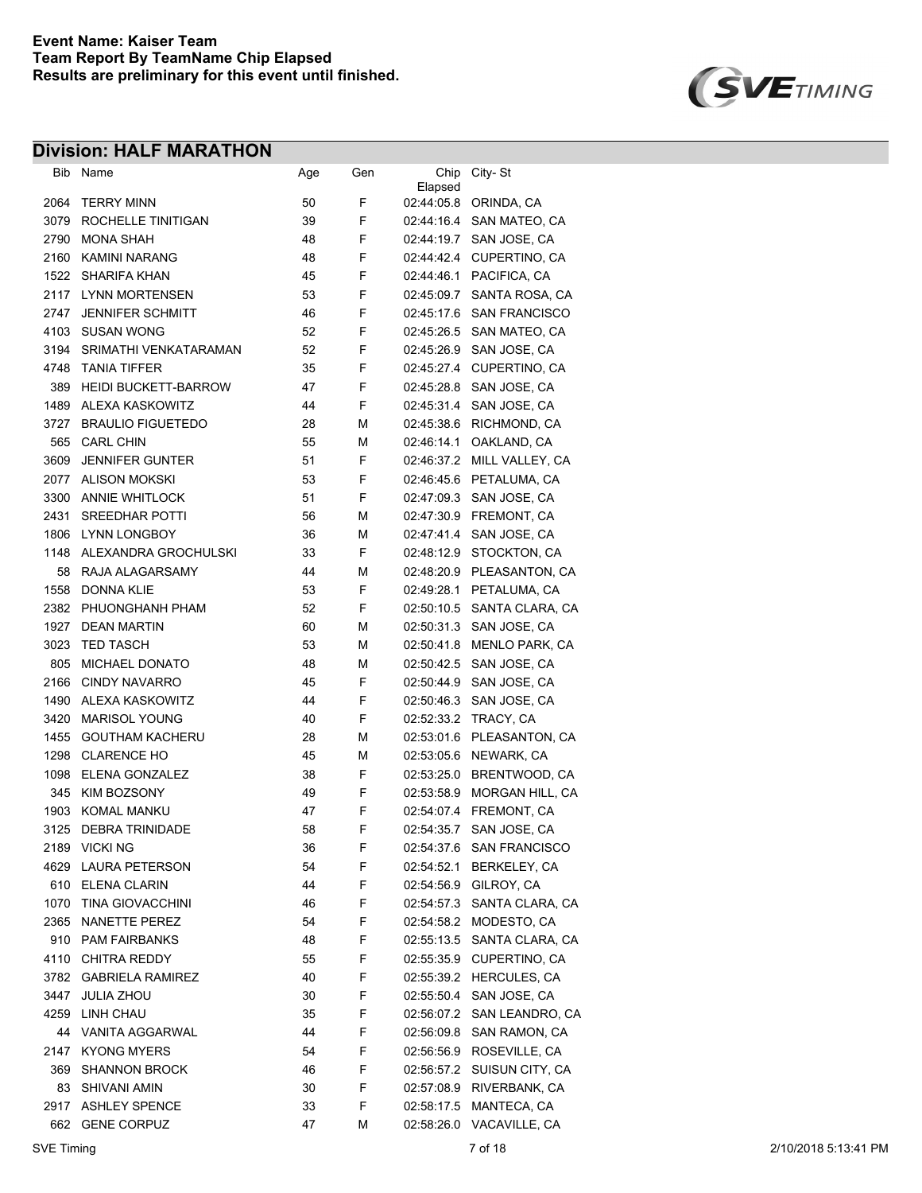

| Bib  | Name                        | Age | Gen | Chip                     | City-St                        |
|------|-----------------------------|-----|-----|--------------------------|--------------------------------|
| 2064 | <b>TERRY MINN</b>           | 50  | F   | Elapsed<br>02:44:05.8    | ORINDA, CA                     |
| 3079 | ROCHELLE TINITIGAN          | 39  | F   | 02:44:16.4               | SAN MATEO, CA                  |
| 2790 | MONA SHAH                   | 48  | F   | 02:44:19.7               | SAN JOSE, CA                   |
| 2160 | KAMINI NARANG               | 48  | F   | 02:44:42.4               | CUPERTINO, CA                  |
| 1522 | SHARIFA KHAN                | 45  | F   | 02.44.46.1               | PACIFICA, CA                   |
|      | 2117 LYNN MORTENSEN         | 53  | F   | 02:45:09.7               | SANTA ROSA, CA                 |
| 2747 | <b>JENNIFER SCHMITT</b>     | 46  | F   | 02:45:17.6               | <b>SAN FRANCISCO</b>           |
| 4103 | <b>SUSAN WONG</b>           | 52  | F   | 02:45:26.5               | SAN MATEO, CA                  |
| 3194 | SRIMATHI VENKATARAMAN       | 52  | F   | 02:45:26.9               | SAN JOSE, CA                   |
| 4748 | <b>TANIA TIFFER</b>         | 35  | F   | 02:45:27.4               | CUPERTINO, CA                  |
| 389  | <b>HEIDI BUCKETT-BARROW</b> | 47  | F   | 02:45:28.8               | SAN JOSE, CA                   |
| 1489 | ALEXA KASKOWITZ             | 44  | F   | 02:45:31.4               | SAN JOSE, CA                   |
| 3727 | <b>BRAULIO FIGUETEDO</b>    | 28  | М   | 02:45:38.6               | RICHMOND, CA                   |
| 565  | <b>CARL CHIN</b>            | 55  | м   | 02:46:14.1               | OAKLAND, CA                    |
| 3609 | <b>JENNIFER GUNTER</b>      | 51  | F   | 02:46:37.2               | MILL VALLEY, CA                |
| 2077 | <b>ALISON MOKSKI</b>        | 53  | F   | 02:46:45.6               | PETALUMA, CA                   |
| 3300 | <b>ANNIE WHITLOCK</b>       | 51  | F   | 02:47:09.3               | SAN JOSE, CA                   |
| 2431 | <b>SREEDHAR POTTI</b>       | 56  | М   | 02:47:30.9               | FREMONT, CA                    |
| 1806 | <b>LYNN LONGBOY</b>         | 36  | М   | 02:47:41.4               | SAN JOSE, CA                   |
| 1148 | ALEXANDRA GROCHULSKI        | 33  | F   |                          |                                |
| 58   | RAJA ALAGARSAMY             | 44  | М   | 02:48:12.9<br>02:48:20.9 | STOCKTON, CA<br>PLEASANTON, CA |
|      |                             |     | F   |                          |                                |
| 1558 | <b>DONNA KLIE</b>           | 53  |     | 02:49:28.1               | PETALUMA, CA                   |
| 2382 | PHUONGHANH PHAM             | 52  | F   | 02:50:10.5               | SANTA CLARA, CA                |
| 1927 | DEAN MARTIN                 | 60  | М   | 02:50:31.3               | SAN JOSE, CA                   |
| 3023 | <b>TED TASCH</b>            | 53  | м   | 02:50:41.8               | <b>MENLO PARK, CA</b>          |
| 805  | <b>MICHAEL DONATO</b>       | 48  | М   | 02:50:42.5               | SAN JOSE, CA                   |
| 2166 | <b>CINDY NAVARRO</b>        | 45  | F   | 02:50:44.9               | SAN JOSE, CA                   |
| 1490 | ALEXA KASKOWITZ             | 44  | F   | 02:50:46.3               | SAN JOSE, CA                   |
| 3420 | <b>MARISOL YOUNG</b>        | 40  | F   |                          | 02:52:33.2 TRACY, CA           |
| 1455 | <b>GOUTHAM KACHERU</b>      | 28  | М   | 02:53:01.6               | PLEASANTON, CA                 |
| 1298 | <b>CLARENCE HO</b>          | 45  | м   | 02:53:05.6               | NEWARK, CA                     |
| 1098 | ELENA GONZALEZ              | 38  | F   | 02:53:25.0               | BRENTWOOD, CA                  |
| 345  | <b>KIM BOZSONY</b>          | 49  | F   | 02:53:58.9               | MORGAN HILL, CA                |
| 1903 | KOMAL MANKU                 | 47  | F   | 02:54:07.4               | FREMONT, CA                    |
| 3125 | DEBRA TRINIDADE             | 58  | F   | 02:54:35.7               | SAN JOSE, CA                   |
|      | 2189 VICKI NG               | 36  | F.  |                          | 02:54:37.6 SAN FRANCISCO       |
|      | 4629 LAURA PETERSON         | 54  | F   | 02:54:52.1               | BERKELEY, CA                   |
|      | 610 ELENA CLARIN            | 44  | F.  | 02:54:56.9               | GILROY, CA                     |
| 1070 | <b>TINA GIOVACCHINI</b>     | 46  | F.  | 02:54:57.3               | SANTA CLARA, CA                |
|      | 2365 NANETTE PEREZ          | 54  | F.  | 02:54:58.2               | MODESTO, CA                    |
|      | 910 PAM FAIRBANKS           | 48  | F.  | 02:55:13.5               | SANTA CLARA, CA                |
|      | 4110 CHITRA REDDY           | 55  | F.  | 02:55:35.9               | CUPERTINO, CA                  |
|      | 3782 GABRIELA RAMIREZ       | 40  | F   | 02:55:39.2               | HERCULES, CA                   |
| 3447 | <b>JULIA ZHOU</b>           | 30  | F.  | 02:55:50.4               | SAN JOSE, CA                   |
|      | 4259 LINH CHAU              | 35  | F.  | 02:56:07.2               | SAN LEANDRO, CA                |
|      | 44 VANITA AGGARWAL          | 44  | F.  | 02:56:09.8               | SAN RAMON, CA                  |
|      | 2147 KYONG MYERS            | 54  | F   | 02:56:56.9               | ROSEVILLE, CA                  |
|      | 369 SHANNON BROCK           | 46  | F   | 02:56:57.2               | SUISUN CITY, CA                |
| 83   | <b>SHIVANI AMIN</b>         | 30  | F.  | 02:57:08.9               | RIVERBANK, CA                  |
|      | 2917 ASHLEY SPENCE          | 33  | F.  | 02:58:17.5               | MANTECA, CA                    |
|      | 662 GENE CORPUZ             | 47  | М   |                          | 02:58:26.0 VACAVILLE, CA       |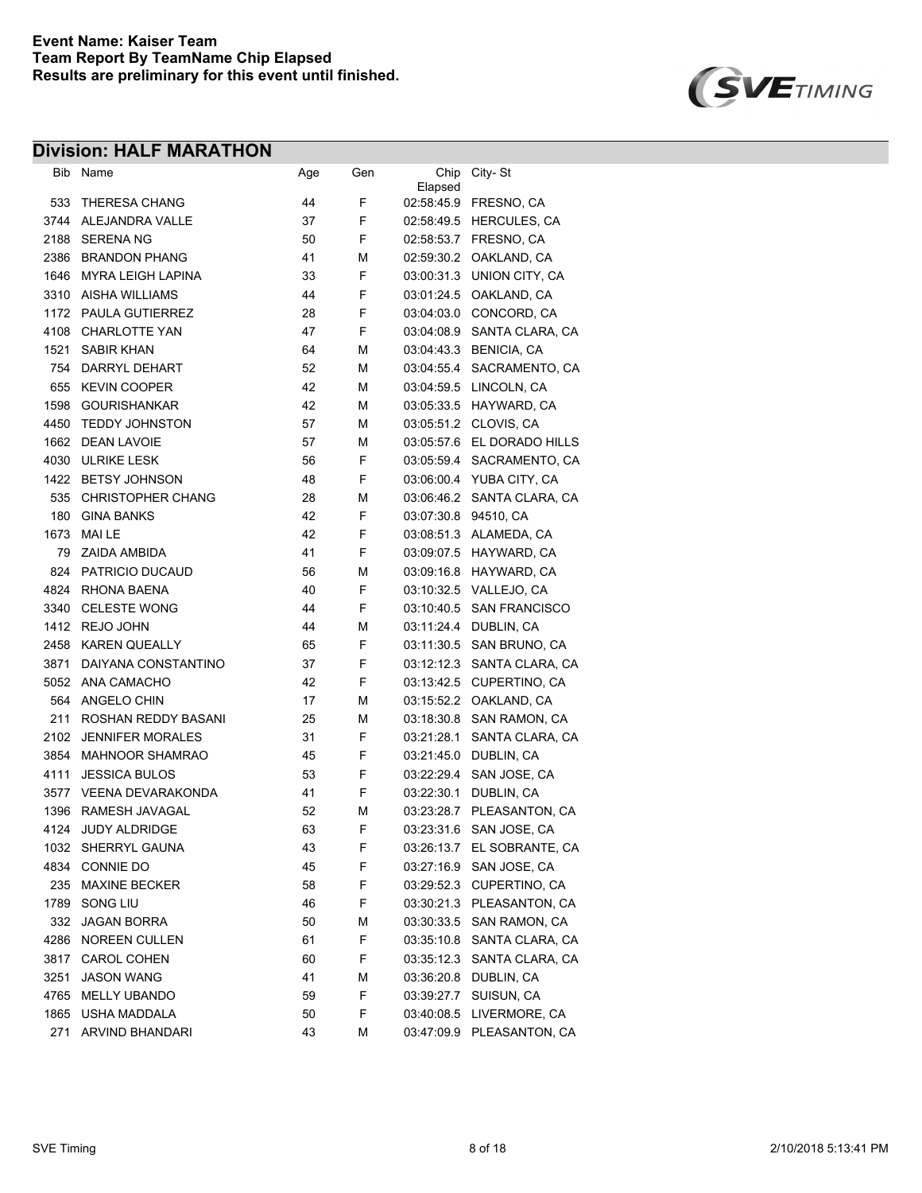

| Bib  | Name                     | Age | Gen | Elapsed    | Chip City-St               |
|------|--------------------------|-----|-----|------------|----------------------------|
| 533  | <b>THERESA CHANG</b>     | 44  | F   |            | 02:58:45.9 FRESNO, CA      |
| 3744 | ALEJANDRA VALLE          | 37  | F   |            | 02:58:49.5 HERCULES, CA    |
| 2188 | <b>SERENA NG</b>         | 50  | F   |            | 02:58:53.7 FRESNO, CA      |
| 2386 | <b>BRANDON PHANG</b>     | 41  | М   | 02:59:30.2 | OAKLAND, CA                |
| 1646 | <b>MYRA LEIGH LAPINA</b> | 33  | F   | 03:00:31.3 | UNION CITY, CA             |
| 3310 | AISHA WILLIAMS           | 44  | F   | 03:01:24.5 | OAKLAND, CA                |
| 1172 | PAULA GUTIERREZ          | 28  | F   | 03:04:03.0 | CONCORD, CA                |
| 4108 | <b>CHARLOTTE YAN</b>     | 47  | F   | 03:04:08.9 | SANTA CLARA, CA            |
| 1521 | <b>SABIR KHAN</b>        | 64  | М   | 03:04:43:3 | <b>BENICIA, CA</b>         |
| 754  | DARRYL DEHART            | 52  | М   | 03:04:55.4 | SACRAMENTO, CA             |
| 655  | <b>KEVIN COOPER</b>      | 42  | М   | 03:04:59.5 | LINCOLN, CA                |
| 1598 | <b>GOURISHANKAR</b>      | 42  | М   |            | 03:05:33.5 HAYWARD, CA     |
| 4450 | <b>TEDDY JOHNSTON</b>    | 57  | М   | 03:05:51.2 | CLOVIS, CA                 |
| 1662 | <b>DEAN LAVOIE</b>       | 57  | М   |            | 03:05:57.6 EL DORADO HILLS |
| 4030 | <b>ULRIKE LESK</b>       | 56  | F   |            | 03:05:59.4 SACRAMENTO, CA  |
|      | 1422 BETSY JOHNSON       | 48  | F   |            | 03:06:00.4 YUBA CITY, CA   |
| 535  | <b>CHRISTOPHER CHANG</b> | 28  | М   |            | 03:06:46.2 SANTA CLARA, CA |
| 180  | <b>GINA BANKS</b>        | 42  | F   |            | 03:07:30.8 94510, CA       |
| 1673 | <b>MAILE</b>             | 42  | F   |            | 03.08:51.3 ALAMEDA, CA     |
| 79   | ZAIDA AMBIDA             | 41  | F   | 03:09:07.5 | HAYWARD, CA                |
| 824  | PATRICIO DUCAUD          | 56  | М   |            | 03:09:16.8 HAYWARD, CA     |
| 4824 | <b>RHONA BAENA</b>       | 40  | F   |            | 03:10:32.5 VALLEJO, CA     |
| 3340 | <b>CELESTE WONG</b>      | 44  | F   |            | 03:10:40.5 SAN FRANCISCO   |
|      | 1412 REJO JOHN           | 44  | М   |            | 03:11:24.4 DUBLIN, CA      |
| 2458 | <b>KAREN QUEALLY</b>     | 65  | F   | 03:11:30.5 | SAN BRUNO, CA              |
| 3871 | DAIYANA CONSTANTINO      | 37  | F   | 03:12:12.3 | SANTA CLARA, CA            |
| 5052 | ANA CAMACHO              | 42  | F   | 03:13:42.5 | CUPERTINO, CA              |
| 564  | ANGELO CHIN              | 17  | М   | 03:15:52.2 | OAKLAND, CA                |
| 211  | ROSHAN REDDY BASANI      | 25  | М   | 03:18:30.8 | SAN RAMON, CA              |
| 2102 | <b>JENNIFER MORALES</b>  | 31  | F   | 03:21:28.1 | SANTA CLARA, CA            |
| 3854 | MAHNOOR SHAMRAO          | 45  | F   | 03:21:45.0 | DUBLIN, CA                 |
| 4111 | <b>JESSICA BULOS</b>     | 53  | F   | 03:22:29.4 | SAN JOSE, CA               |
| 3577 | <b>VEENA DEVARAKONDA</b> | 41  | F   | 03:22:30.1 | DUBLIN, CA                 |
| 1396 | RAMESH JAVAGAL           | 52  | м   | 03:23:28.7 | PLEASANTON, CA             |
| 4124 | <b>JUDY ALDRIDGE</b>     | 63  | F   | 03:23:31.6 | SAN JOSE, CA               |
| 1032 | SHERRYL GAUNA            | 43  | F   | 03:26:13.7 | EL SOBRANTE, CA            |
| 4834 | CONNIE DO                | 45  | F   | 03:27:16.9 | SAN JOSE, CA               |
| 235  | <b>MAXINE BECKER</b>     | 58  | F   | 03:29:52.3 | CUPERTINO, CA              |
| 1789 | SONG LIU                 | 46  | F   | 03:30:21.3 | PLEASANTON, CA             |
| 332  | <b>JAGAN BORRA</b>       | 50  | М   | 03:30:33.5 | SAN RAMON, CA              |
| 4286 | NOREEN CULLEN            | 61  | F   | 03:35:10.8 | SANTA CLARA, CA            |
| 3817 | <b>CAROL COHEN</b>       | 60  | F   | 03:35:12.3 | SANTA CLARA, CA            |
| 3251 | <b>JASON WANG</b>        | 41  | М   |            | 03:36:20.8 DUBLIN, CA      |
| 4765 | <b>MELLY UBANDO</b>      | 59  | F   | 03:39:27.7 | SUISUN, CA                 |
| 1865 | USHA MADDALA             | 50  | F   | 03:40:08.5 | LIVERMORE, CA              |
| 271  | ARVIND BHANDARI          | 43  | М   | 03:47:09.9 | PLEASANTON, CA             |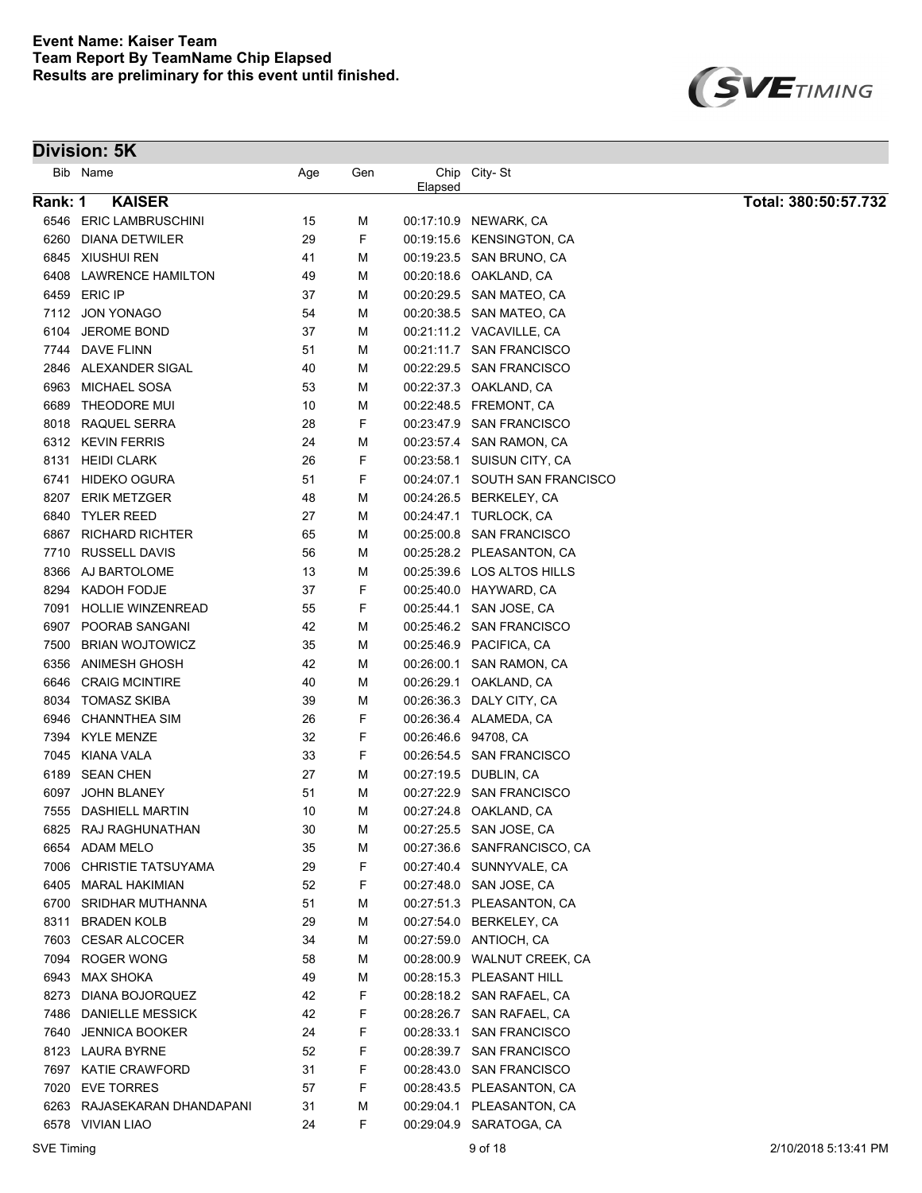

|         | Bib Name                    | Age | Gen | Elapsed              | Chip City-St                   |                      |
|---------|-----------------------------|-----|-----|----------------------|--------------------------------|----------------------|
| Rank: 1 | <b>KAISER</b>               |     |     |                      |                                | Total: 380:50:57.732 |
|         | 6546 ERIC LAMBRUSCHINI      | 15  | М   |                      | 00:17:10.9 NEWARK, CA          |                      |
| 6260    | <b>DIANA DETWILER</b>       | 29  | F   |                      | 00:19:15.6 KENSINGTON, CA      |                      |
|         | 6845 XIUSHUI REN            | 41  | M   |                      | 00:19:23.5 SAN BRUNO, CA       |                      |
| 6408    | <b>LAWRENCE HAMILTON</b>    | 49  | М   |                      | 00:20:18.6 OAKLAND, CA         |                      |
| 6459    | <b>ERIC IP</b>              | 37  | М   |                      | 00:20:29.5 SAN MATEO, CA       |                      |
|         | 7112 JON YONAGO             | 54  | М   |                      | 00:20:38.5 SAN MATEO, CA       |                      |
| 6104    | <b>JEROME BOND</b>          | 37  | М   |                      | 00:21:11.2 VACAVILLE, CA       |                      |
| 7744    | DAVE FLINN                  | 51  | М   |                      | 00:21:11.7 SAN FRANCISCO       |                      |
|         | 2846 ALEXANDER SIGAL        | 40  | М   |                      | 00:22:29.5 SAN FRANCISCO       |                      |
| 6963    | <b>MICHAEL SOSA</b>         | 53  | М   |                      | 00:22:37.3 OAKLAND, CA         |                      |
| 6689    | THEODORE MUI                | 10  | М   |                      | 00:22:48.5 FREMONT, CA         |                      |
| 8018    | RAQUEL SERRA                | 28  | F   |                      | 00:23:47.9 SAN FRANCISCO       |                      |
|         | 6312 KEVIN FERRIS           | 24  | М   |                      | 00:23:57.4 SAN RAMON, CA       |                      |
|         | 8131 HEIDI CLARK            | 26  | F   |                      | 00:23:58.1 SUISUN CITY, CA     |                      |
| 6741    | <b>HIDEKO OGURA</b>         | 51  | F   |                      | 00:24:07.1 SOUTH SAN FRANCISCO |                      |
| 8207    | <b>ERIK METZGER</b>         | 48  | М   |                      | 00:24:26.5 BERKELEY, CA        |                      |
| 6840    | <b>TYLER REED</b>           | 27  | М   |                      | 00:24:47.1 TURLOCK, CA         |                      |
| 6867    | <b>RICHARD RICHTER</b>      | 65  | М   |                      | 00:25:00.8 SAN FRANCISCO       |                      |
| 7710    | <b>RUSSELL DAVIS</b>        | 56  | M   |                      | 00:25:28.2 PLEASANTON, CA      |                      |
| 8366    | AJ BARTOLOME                | 13  | M   |                      | 00:25:39.6 LOS ALTOS HILLS     |                      |
| 8294    | KADOH FODJE                 | 37  | F   |                      | 00:25:40.0 HAYWARD, CA         |                      |
| 7091    | <b>HOLLIE WINZENREAD</b>    | 55  | F   | 00:25:44.1           | SAN JOSE, CA                   |                      |
| 6907    | POORAB SANGANI              | 42  | М   |                      | 00:25:46.2 SAN FRANCISCO       |                      |
| 7500    | <b>BRIAN WOJTOWICZ</b>      | 35  | М   |                      | 00:25:46.9 PACIFICA, CA        |                      |
| 6356    | ANIMESH GHOSH               | 42  | М   |                      | 00:26:00.1 SAN RAMON, CA       |                      |
| 6646    | <b>CRAIG MCINTIRE</b>       | 40  | М   |                      | 00:26:29.1 OAKLAND, CA         |                      |
| 8034    | <b>TOMASZ SKIBA</b>         | 39  | М   |                      | 00:26:36.3 DALY CITY, CA       |                      |
| 6946    | CHANNTHEA SIM               | 26  | F   |                      | 00.26.36.4 ALAMEDA, CA         |                      |
|         | 7394 KYLE MENZE             | 32  | F   | 00:26:46.6 94708, CA |                                |                      |
| 7045    | KIANA VALA                  | 33  | F   |                      | 00:26:54.5 SAN FRANCISCO       |                      |
| 6189    | <b>SEAN CHEN</b>            | 27  | М   |                      | 00:27:19.5 DUBLIN, CA          |                      |
| 6097    | <b>JOHN BLANEY</b>          | 51  | М   |                      | 00:27:22.9 SAN FRANCISCO       |                      |
| 7555    | DASHIELL MARTIN             | 10  | М   |                      | 00:27:24.8 OAKLAND, CA         |                      |
| 6825    | RAJ RAGHUNATHAN             | 30  | М   |                      | 00:27:25.5 SAN JOSE, CA        |                      |
|         | 6654 ADAM MELO              | 35  | М   |                      | 00:27:36.6 SANFRANCISCO, CA    |                      |
|         | 7006 CHRISTIE TATSUYAMA     | 29  | F   |                      | 00:27:40.4 SUNNYVALE, CA       |                      |
|         | 6405 MARAL HAKIMIAN         | 52  | F   |                      | 00:27:48.0 SAN JOSE, CA        |                      |
|         | 6700 SRIDHAR MUTHANNA       | 51  | M   |                      | 00:27:51.3 PLEASANTON, CA      |                      |
| 8311    | <b>BRADEN KOLB</b>          | 29  | M   |                      | 00:27:54.0 BERKELEY, CA        |                      |
|         | 7603 CESAR ALCOCER          | 34  | М   |                      | 00:27:59.0 ANTIOCH, CA         |                      |
|         | 7094 ROGER WONG             | 58  | M   |                      | 00:28:00.9 WALNUT CREEK, CA    |                      |
|         | 6943 MAX SHOKA              | 49  | M   |                      | 00:28:15.3 PLEASANT HILL       |                      |
|         | 8273 DIANA BOJORQUEZ        | 42  | F   |                      | 00:28:18.2 SAN RAFAEL, CA      |                      |
|         | 7486 DANIELLE MESSICK       | 42  | F   |                      | 00:28:26.7 SAN RAFAEL, CA      |                      |
|         | 7640 JENNICA BOOKER         | 24  | F   |                      | 00:28:33.1 SAN FRANCISCO       |                      |
|         | 8123 LAURA BYRNE            | 52  | F   |                      | 00:28:39.7 SAN FRANCISCO       |                      |
|         | 7697 KATIE CRAWFORD         | 31  | F   |                      | 00:28:43.0 SAN FRANCISCO       |                      |
|         | 7020 EVE TORRES             | 57  | F   |                      | 00:28:43.5 PLEASANTON, CA      |                      |
|         | 6263 RAJASEKARAN DHANDAPANI | 31  | M   |                      | 00:29:04.1 PLEASANTON, CA      |                      |
|         | 6578 VIVIAN LIAO            | 24  | F   |                      | 00:29:04.9 SARATOGA, CA        |                      |
|         |                             |     |     |                      |                                |                      |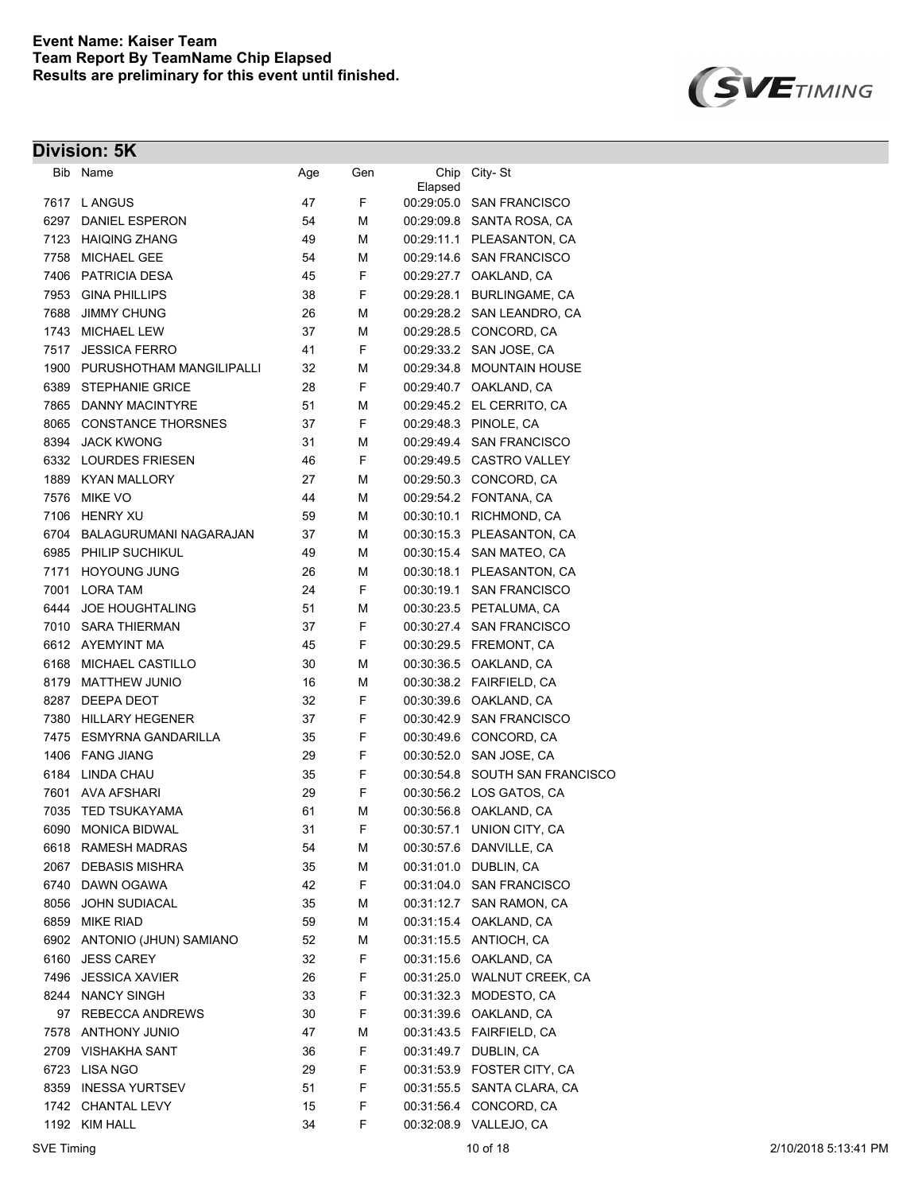

|      | Bib Name                  | Age | Gen | Chip<br>Elapsed | City-St                     |
|------|---------------------------|-----|-----|-----------------|-----------------------------|
|      | 7617 L ANGUS              | 47  | F   |                 | 00:29:05.0 SAN FRANCISCO    |
| 6297 | DANIEL ESPERON            | 54  | М   |                 | 00:29:09.8 SANTA ROSA, CA   |
|      | 7123 HAIQING ZHANG        | 49  | М   |                 | 00:29:11.1 PLEASANTON, CA   |
| 7758 | <b>MICHAEL GEE</b>        | 54  | М   |                 | 00:29:14.6 SAN FRANCISCO    |
| 7406 | <b>PATRICIA DESA</b>      | 45  | F   |                 | 00.29.27.7 OAKLAND, CA      |
| 7953 | <b>GINA PHILLIPS</b>      | 38  | F   | 00:29:28.1      | <b>BURLINGAME, CA</b>       |
| 7688 | <b>JIMMY CHUNG</b>        | 26  | М   |                 | 00:29:28.2 SAN LEANDRO, CA  |
| 1743 | <b>MICHAEL LEW</b>        | 37  | М   | 00:29:28.5      | CONCORD, CA                 |
| 7517 | <b>JESSICA FERRO</b>      | 41  | F   | 00:29:33.2      | SAN JOSE, CA                |
| 1900 | PURUSHOTHAM MANGILIPALLI  | 32  | М   | 00:29:34.8      | <b>MOUNTAIN HOUSE</b>       |
| 6389 | <b>STEPHANIE GRICE</b>    | 28  | F   | 00:29:40.7      | OAKLAND, CA                 |
| 7865 | DANNY MACINTYRE           | 51  | М   |                 | 00:29:45.2 EL CERRITO, CA   |
| 8065 | <b>CONSTANCE THORSNES</b> | 37  | F   | 00:29:48.3      | PINOLE, CA                  |
| 8394 | <b>JACK KWONG</b>         | 31  | М   | 00:29:49.4      | <b>SAN FRANCISCO</b>        |
|      | 6332 LOURDES FRIESEN      | 46  | F   |                 | 00:29:49.5 CASTRO VALLEY    |
|      | 1889 KYAN MALLORY         | 27  | М   |                 | 00:29:50.3 CONCORD, CA      |
| 7576 | <b>MIKE VO</b>            | 44  | М   |                 | 00:29:54.2 FONTANA, CA      |
| 7106 | <b>HENRY XU</b>           | 59  | М   |                 | 00:30:10.1 RICHMOND, CA     |
| 6704 | BALAGURUMANI NAGARAJAN    | 37  | М   |                 | 00:30:15.3 PLEASANTON, CA   |
|      | 6985 PHILIP SUCHIKUL      | 49  | М   |                 | 00:30:15.4 SAN MATEO, CA    |
|      | 7171 HOYOUNG JUNG         | 26  | М   |                 | 00:30:18.1 PLEASANTON, CA   |
|      | 7001 LORA TAM             | 24  | F   |                 | 00:30:19.1 SAN FRANCISCO    |
| 6444 | <b>JOE HOUGHTALING</b>    | 51  | М   |                 | 00:30:23.5 PETALUMA, CA     |
| 7010 | SARA THIERMAN             | 37  | F   |                 | 00:30:27.4 SAN FRANCISCO    |
|      | 6612 AYEMYINT MA          | 45  | F   |                 | 00:30:29.5 FREMONT, CA      |
| 6168 | MICHAEL CASTILLO          | 30  | М   | 00:30:36.5      | OAKLAND, CA                 |
| 8179 | <b>MATTHEW JUNIO</b>      | 16  | М   |                 | 00:30:38.2 FAIRFIELD, CA    |
| 8287 | DEEPA DEOT                | 32  | F   | 00:30:39.6      | OAKLAND, CA                 |
| 7380 | <b>HILLARY HEGENER</b>    | 37  | F   | 00:30:42.9      | <b>SAN FRANCISCO</b>        |
| 7475 | ESMYRNA GANDARILLA        | 35  | F   | 00:30:49.6      | CONCORD, CA                 |
|      | 1406 FANG JIANG           | 29  | F   | 00:30:52.0      | SAN JOSE, CA                |
| 6184 | LINDA CHAU                | 35  | F   | 00:30:54.8      | SOUTH SAN FRANCISCO         |
| 7601 | <b>AVA AFSHARI</b>        | 29  | F   |                 | 00:30:56.2 LOS GATOS, CA    |
| 7035 | <b>TED TSUKAYAMA</b>      | 61  | М   | 00:30:56.8      | OAKLAND, CA                 |
| 6090 | <b>MONICA BIDWAL</b>      | 31  | F   | 00:30:57.1      | UNION CITY, CA              |
|      | 6618 RAMESH MADRAS        | 54  | М   | 00:30:57.6      | DANVILLE, CA                |
| 2067 | <b>DEBASIS MISHRA</b>     | 35  | М   | 00:31:01.0      | DUBLIN, CA                  |
| 6740 | DAWN OGAWA                | 42  | F   | 00.31:04.0      | <b>SAN FRANCISCO</b>        |
| 8056 | JOHN SUDIACAL             | 35  | М   | 00:31:12.7      | SAN RAMON, CA               |
| 6859 | MIKE RIAD                 | 59  | М   |                 | 00:31:15.4 OAKLAND, CA      |
| 6902 | ANTONIO (JHUN) SAMIANO    | 52  | М   |                 | 00:31:15.5 ANTIOCH, CA      |
| 6160 | <b>JESS CAREY</b>         | 32  | F   |                 | 00:31:15.6 OAKLAND, CA      |
| 7496 | <b>JESSICA XAVIER</b>     | 26  | F   |                 | 00:31:25.0 WALNUT CREEK, CA |
| 8244 | <b>NANCY SINGH</b>        | 33  | F   | 00:31:32.3      | MODESTO, CA                 |
| 97   | <b>REBECCA ANDREWS</b>    | 30  | F   |                 | 00:31:39.6 OAKLAND, CA      |
|      | 7578 ANTHONY JUNIO        | 47  | М   |                 |                             |
|      | 2709 VISHAKHA SANT        | 36  | F   |                 | 00:31:49.7 DUBLIN, CA       |
|      | 6723 LISA NGO             | 29  | F   |                 | 00:31:53.9 FOSTER CITY, CA  |
| 8359 | <b>INESSA YURTSEV</b>     | 51  | F   | 00:31:55.5      | SANTA CLARA, CA             |
|      | 1742 CHANTAL LEVY         | 15  | F   |                 | 00:31:56.4 CONCORD, CA      |
|      | 1192 KIM HALL             | 34  | F   | 00:32:08.9      | VALLEJO, CA                 |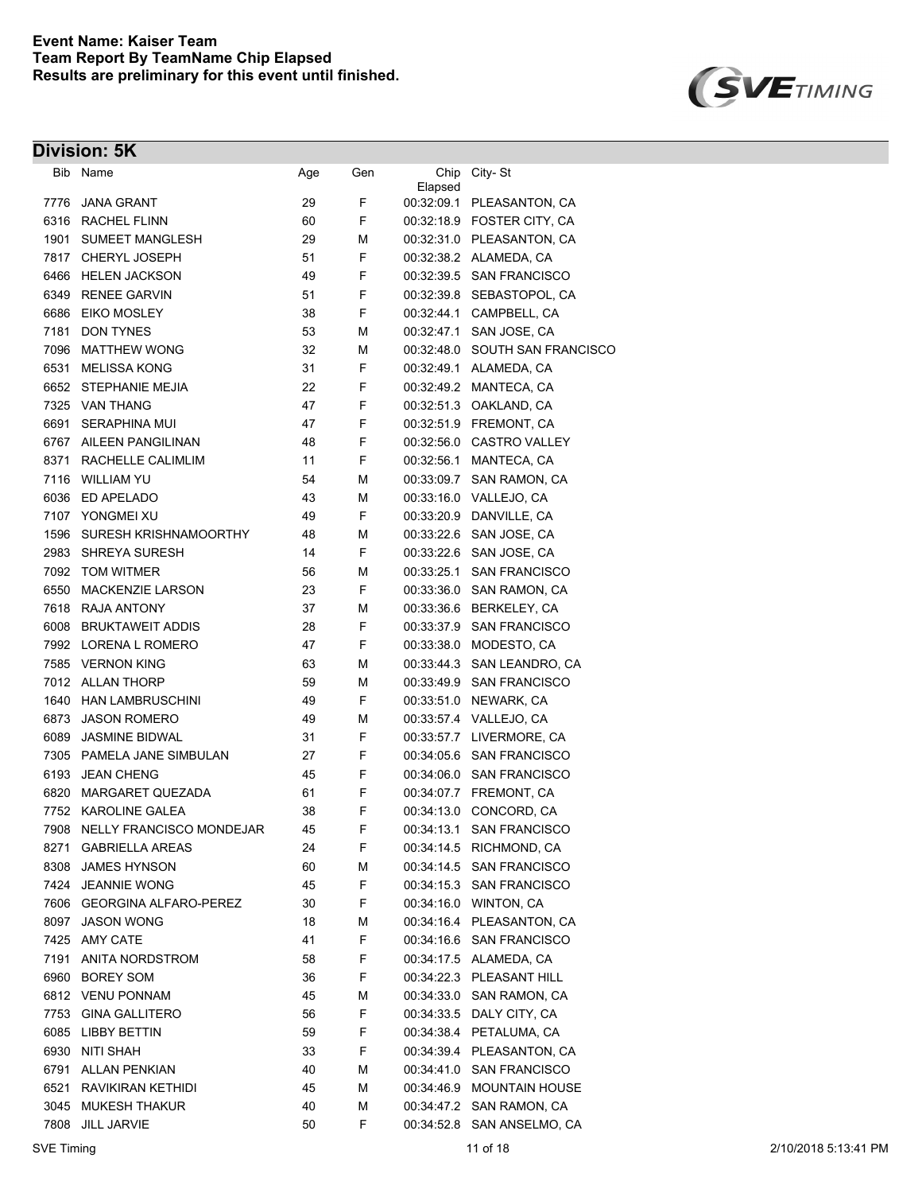

| Bib  | Name                          | Age | Gen | Chip<br>Elapsed | City-St                        |
|------|-------------------------------|-----|-----|-----------------|--------------------------------|
| 7776 | <b>JANA GRANT</b>             | 29  | F   |                 | 00:32:09.1 PLEASANTON, CA      |
| 6316 | <b>RACHEL FLINN</b>           | 60  | F   |                 | 00:32:18.9 FOSTER CITY, CA     |
| 1901 | <b>SUMEET MANGLESH</b>        | 29  | М   |                 | 00:32:31.0 PLEASANTON, CA      |
|      | 7817 CHERYL JOSEPH            | 51  | F   |                 | 00:32:38.2 ALAMEDA, CA         |
| 6466 | <b>HELEN JACKSON</b>          | 49  | F   |                 | 00:32:39.5 SAN FRANCISCO       |
| 6349 | <b>RENEE GARVIN</b>           | 51  | F   |                 | 00:32:39.8 SEBASTOPOL, CA      |
| 6686 | <b>EIKO MOSLEY</b>            | 38  | F   |                 | 00:32:44.1 CAMPBELL, CA        |
| 7181 | <b>DON TYNES</b>              | 53  | М   |                 | 00:32:47.1 SAN JOSE, CA        |
| 7096 | <b>MATTHEW WONG</b>           | 32  | М   |                 | 00:32:48.0 SOUTH SAN FRANCISCO |
| 6531 | <b>MELISSA KONG</b>           | 31  | F   |                 | 00.32.49.1 ALAMEDA, CA         |
| 6652 | <b>STEPHANIE MEJIA</b>        | 22  | F   |                 | 00:32:49.2 MANTECA, CA         |
|      | 7325 VAN THANG                | 47  | F   |                 | 00:32:51.3 OAKLAND, CA         |
| 6691 | <b>SERAPHINA MUI</b>          | 47  | F   |                 | 00:32:51.9 FREMONT, CA         |
| 6767 | <b>AILEEN PANGILINAN</b>      | 48  | F   |                 | 00:32:56.0 CASTRO VALLEY       |
| 8371 | RACHELLE CALIMLIM             | 11  | F   | 00:32:56.1      | MANTECA, CA                    |
| 7116 | <b>WILLIAM YU</b>             | 54  | М   | 00:33:09.7      | SAN RAMON, CA                  |
| 6036 | ED APELADO                    | 43  | М   |                 | 00:33:16.0 VALLEJO, CA         |
| 7107 | YONGMEI XU                    | 49  | F   |                 | 00:33:20.9 DANVILLE, CA        |
| 1596 | SURESH KRISHNAMOORTHY         | 48  | М   | 00:33:22.6      | SAN JOSE, CA                   |
| 2983 | SHREYA SURESH                 | 14  | F   |                 | 00.33.22.6 SAN JOSE, CA        |
| 7092 | <b>TOM WITMER</b>             | 56  | М   | 00:33:25.1      | <b>SAN FRANCISCO</b>           |
| 6550 | MACKENZIE LARSON              | 23  | F   |                 | 00:33:36.0 SAN RAMON, CA       |
| 7618 | <b>RAJA ANTONY</b>            | 37  | М   |                 | 00:33:36.6 BERKELEY, CA        |
| 6008 | <b>BRUKTAWEIT ADDIS</b>       | 28  | F   |                 | 00:33:37.9 SAN FRANCISCO       |
| 7992 | LORENA L ROMERO               | 47  | F   |                 | 00:33:38.0 MODESTO, CA         |
|      | 7585 VERNON KING              | 63  | М   |                 | 00:33:44.3 SAN LEANDRO, CA     |
|      | 7012 ALLAN THORP              | 59  | М   |                 | 00:33:49.9 SAN FRANCISCO       |
| 1640 | HAN LAMBRUSCHINI              | 49  | F   |                 | 00:33:51.0 NEWARK, CA          |
| 6873 | <b>JASON ROMERO</b>           | 49  | М   |                 | 00:33:57.4 VALLEJO, CA         |
| 6089 | <b>JASMINE BIDWAL</b>         | 31  | F   |                 | 00:33:57.7 LIVERMORE, CA       |
| 7305 | PAMELA JANE SIMBULAN          | 27  | F   |                 | 00:34:05.6 SAN FRANCISCO       |
| 6193 | <b>JEAN CHENG</b>             | 45  | F   |                 | 00:34:06.0 SAN FRANCISCO       |
| 6820 | <b>MARGARET QUEZADA</b>       | 61  | F   |                 | 00:34:07.7 FREMONT, CA         |
|      | 7752 KAROLINE GALEA           | 38  | F   |                 | 00:34:13.0 CONCORD, CA         |
|      | 7908 NELLY FRANCISCO MONDEJAR | 45  | F   |                 | 00:34:13.1 SAN FRANCISCO       |
|      | 8271 GABRIELLA AREAS          | 24  | F   |                 | 00:34:14.5 RICHMOND, CA        |
| 8308 | <b>JAMES HYNSON</b>           | 60  | М   |                 | 00:34:14.5 SAN FRANCISCO       |
| 7424 | <b>JEANNIE WONG</b>           | 45  | F   |                 | 00:34:15.3 SAN FRANCISCO       |
|      | 7606 GEORGINA ALFARO-PEREZ    | 30  | F   |                 | 00:34:16.0 WINTON, CA          |
| 8097 | <b>JASON WONG</b>             | 18  | М   |                 | 00:34:16.4 PLEASANTON, CA      |
|      | 7425 AMY CATE                 | 41  | F   |                 | 00:34:16.6 SAN FRANCISCO       |
| 7191 | ANITA NORDSTROM               | 58  | F   |                 | 00:34:17.5 ALAMEDA, CA         |
| 6960 | <b>BOREY SOM</b>              | 36  | F   |                 | 00:34:22.3 PLEASANT HILL       |
|      | 6812 VENU PONNAM              | 45  | М   |                 | 00:34:33.0 SAN RAMON, CA       |
| 7753 | <b>GINA GALLITERO</b>         | 56  | F   |                 | 00:34:33.5 DALY CITY, CA       |
| 6085 | LIBBY BETTIN                  | 59  | F   |                 | 00:34:38.4 PETALUMA, CA        |
| 6930 | NITI SHAH                     | 33  | F   |                 | 00:34:39.4 PLEASANTON, CA      |
| 6791 | <b>ALLAN PENKIAN</b>          | 40  | М   |                 | 00:34:41.0 SAN FRANCISCO       |
| 6521 | RAVIKIRAN KETHIDI             | 45  | М   |                 | 00:34:46.9 MOUNTAIN HOUSE      |
| 3045 | <b>MUKESH THAKUR</b>          | 40  | М   |                 | 00:34:47.2 SAN RAMON, CA       |
| 7808 | <b>JILL JARVIE</b>            | 50  | F.  |                 | 00:34:52.8 SAN ANSELMO, CA     |
|      |                               |     |     |                 |                                |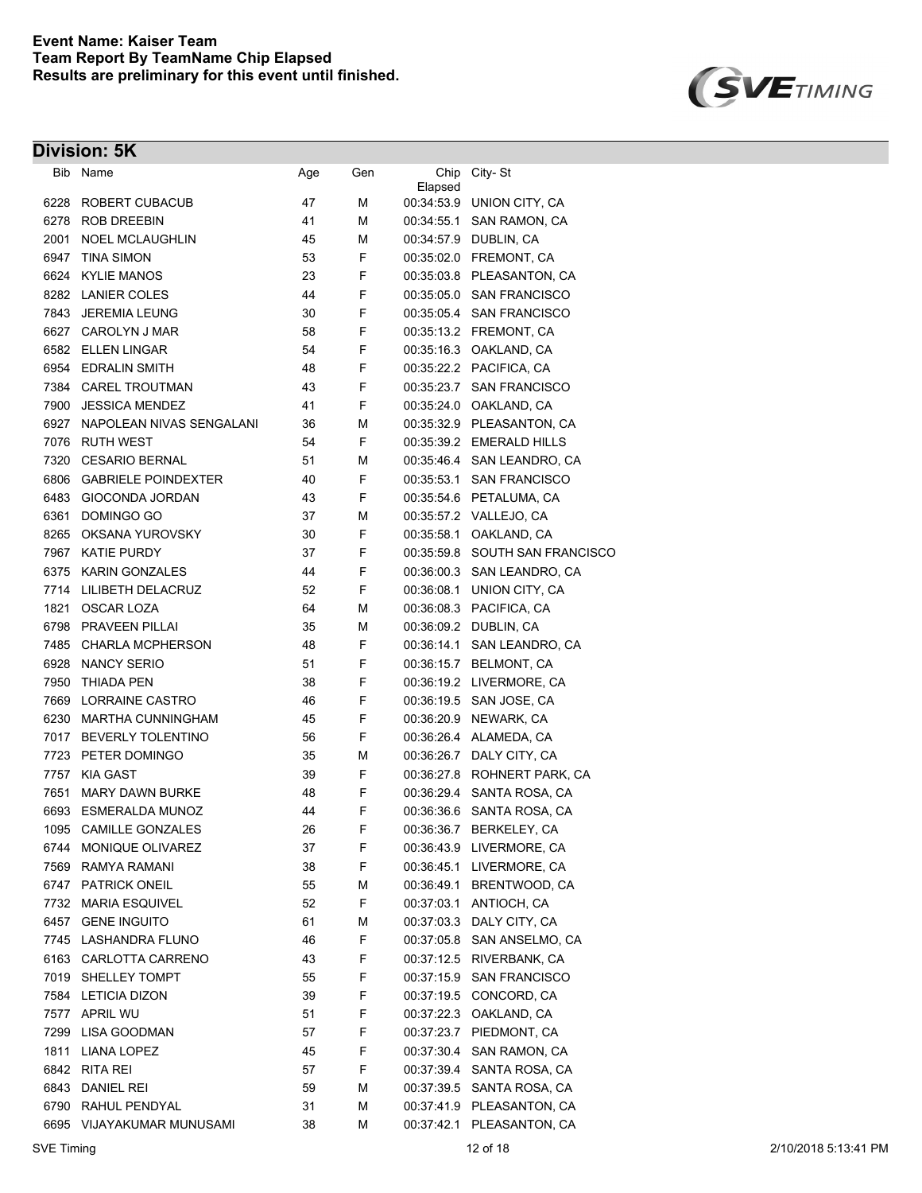

| Bib  | Name                       | Age | Gen | Chip       | City-St                        |
|------|----------------------------|-----|-----|------------|--------------------------------|
| 6228 | ROBERT CUBACUB             | 47  | М   | Elapsed    | 00:34:53.9 UNION CITY, CA      |
| 6278 | ROB DREEBIN                | 41  | М   |            | 00:34:55.1 SAN RAMON, CA       |
| 2001 | <b>NOEL MCLAUGHLIN</b>     | 45  | М   |            | 00:34:57.9 DUBLIN, CA          |
| 6947 | <b>TINA SIMON</b>          | 53  | F   |            | 00:35:02.0 FREMONT, CA         |
|      | 6624 KYLIE MANOS           | 23  | F   |            | 00:35:03.8 PLEASANTON, CA      |
|      | 8282 LANIER COLES          | 44  | F   |            | 00:35:05.0 SAN FRANCISCO       |
| 7843 | <b>JEREMIA LEUNG</b>       | 30  | F   |            | 00:35:05.4 SAN FRANCISCO       |
|      | 6627 CAROLYN J MAR         | 58  | F   |            | 00:35:13.2 FREMONT, CA         |
|      | 6582 ELLEN LINGAR          | 54  | F   |            | 00:35:16.3 OAKLAND, CA         |
|      | 6954 EDRALIN SMITH         | 48  | F   |            | 00:35:22.2 PACIFICA, CA        |
|      | 7384 CAREL TROUTMAN        | 43  | F   |            | 00:35:23.7 SAN FRANCISCO       |
| 7900 | <b>JESSICA MENDEZ</b>      | 41  | F   |            | 00:35:24.0 OAKLAND, CA         |
| 6927 | NAPOLEAN NIVAS SENGALANI   | 36  | М   |            | 00:35:32.9 PLEASANTON, CA      |
| 7076 | <b>RUTH WEST</b>           | 54  | F   |            | 00:35:39.2 EMERALD HILLS       |
| 7320 | <b>CESARIO BERNAL</b>      | 51  | М   |            | 00:35:46.4 SAN LEANDRO, CA     |
| 6806 | <b>GABRIELE POINDEXTER</b> | 40  | F   |            | 00:35:53.1 SAN FRANCISCO       |
| 6483 | <b>GIOCONDA JORDAN</b>     | 43  | F   |            | 00:35:54.6 PETALUMA, CA        |
| 6361 | DOMINGO GO                 | 37  | М   |            | 00:35:57.2 VALLEJO, CA         |
| 8265 | OKSANA YUROVSKY            | 30  | F   |            | 00:35:58.1 OAKLAND, CA         |
| 7967 | <b>KATIE PURDY</b>         | 37  | F   |            | 00:35:59.8 SOUTH SAN FRANCISCO |
| 6375 | <b>KARIN GONZALES</b>      | 44  | F   |            | 00:36:00.3 SAN LEANDRO, CA     |
| 7714 | LILIBETH DELACRUZ          | 52  | F   |            | 00:36:08.1 UNION CITY, CA      |
| 1821 | <b>OSCAR LOZA</b>          | 64  | М   |            | 00:36:08.3 PACIFICA, CA        |
| 6798 | <b>PRAVEEN PILLAI</b>      | 35  | М   |            | 00:36:09.2 DUBLIN, CA          |
| 7485 | <b>CHARLA MCPHERSON</b>    | 48  | F   |            | 00:36:14.1 SAN LEANDRO, CA     |
| 6928 | <b>NANCY SERIO</b>         | 51  | F   |            | 00:36:15.7 BELMONT, CA         |
| 7950 | <b>THIADA PEN</b>          | 38  | F   |            | 00:36:19.2 LIVERMORE, CA       |
| 7669 | LORRAINE CASTRO            | 46  | F   |            | 00:36:19.5 SAN JOSE, CA        |
| 6230 | <b>MARTHA CUNNINGHAM</b>   | 45  | F   |            | 00:36:20.9 NEWARK, CA          |
| 7017 | <b>BEVERLY TOLENTINO</b>   | 56  | F   |            | 00:36:26.4 ALAMEDA, CA         |
|      | 7723 PETER DOMINGO         | 35  | М   |            | 00:36:26.7 DALY CITY, CA       |
| 7757 | <b>KIA GAST</b>            | 39  | F   |            | 00:36:27.8 ROHNERT PARK, CA    |
| 7651 | <b>MARY DAWN BURKE</b>     | 48  | F   |            | 00:36:29.4 SANTA ROSA, CA      |
|      | 6693 ESMERALDA MUNOZ       | 44  | F   |            | 00:36:36.6 SANTA ROSA, CA      |
|      | 1095 CAMILLE GONZALES      | 26  | F   |            | 00:36:36.7 BERKELEY, CA        |
|      | 6744 MONIQUE OLIVAREZ      | 37  | F   |            | 00:36:43.9 LIVERMORE, CA       |
|      | 7569 RAMYA RAMANI          | 38  | F   |            | 00:36:45.1 LIVERMORE, CA       |
|      | 6747 PATRICK ONEIL         | 55  | М   |            | 00:36:49.1 BRENTWOOD, CA       |
| 7732 | <b>MARIA ESQUIVEL</b>      | 52  | F   |            | 00.37:03.1 ANTIOCH, CA         |
| 6457 | <b>GENE INGUITO</b>        | 61  | М   |            | 00:37:03.3 DALY CITY, CA       |
| 7745 | LASHANDRA FLUNO            | 46  | F   |            | 00:37:05.8 SAN ANSELMO, CA     |
| 6163 | CARLOTTA CARRENO           | 43  | F   |            | 00:37:12.5 RIVERBANK, CA       |
| 7019 | SHELLEY TOMPT              | 55  | F   | 00:37:15.9 | <b>SAN FRANCISCO</b>           |
| 7584 | <b>LETICIA DIZON</b>       | 39  | F   | 00:37:19.5 | CONCORD, CA                    |
| 7577 | APRIL WU                   | 51  | F   |            | 00:37:22.3 OAKLAND, CA         |
| 7299 | <b>LISA GOODMAN</b>        | 57  | F   |            | 00:37:23.7 PIEDMONT, CA        |
| 1811 | <b>LIANA LOPEZ</b>         | 45  | F   | 00:37:30.4 | SAN RAMON, CA                  |
| 6842 | RITA REI                   | 57  | F   |            | 00:37:39.4 SANTA ROSA, CA      |
| 6843 | <b>DANIEL REI</b>          | 59  | М   |            | 00:37:39.5 SANTA ROSA, CA      |
| 6790 | RAHUL PENDYAL              | 31  | М   |            | 00:37:41.9 PLEASANTON, CA      |
|      | 6695 VIJAYAKUMAR MUNUSAMI  | 38  | М   |            | 00:37:42.1 PLEASANTON, CA      |
|      |                            |     |     |            |                                |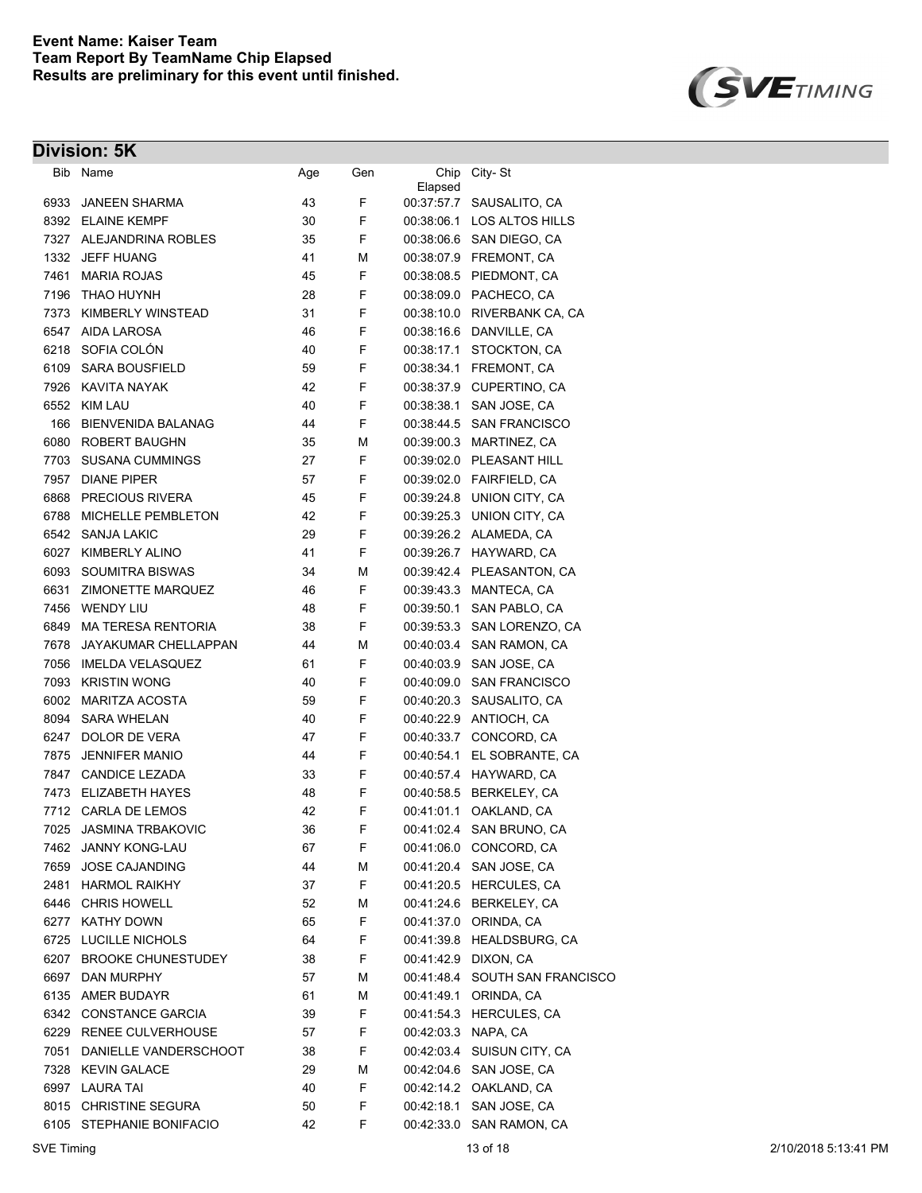

| Bib Name                          | Age                                                           | Gen                  |                     | City-St                        |
|-----------------------------------|---------------------------------------------------------------|----------------------|---------------------|--------------------------------|
|                                   |                                                               | F                    |                     | 00:37:57.7 SAUSALITO, CA       |
|                                   |                                                               | F                    |                     | 00:38:06.1 LOS ALTOS HILLS     |
|                                   |                                                               | F                    |                     | 00:38:06.6 SAN DIEGO, CA       |
| 1332<br>JEFF HUANG                | 41                                                            | М                    |                     | 00:38:07.9 FREMONT, CA         |
| 7461<br><b>MARIA ROJAS</b>        |                                                               | F                    |                     | 00:38:08.5 PIEDMONT, CA        |
| THAO HUYNH                        | 28                                                            |                      |                     | 00:38:09.0 PACHECO, CA         |
| 7373 KIMBERLY WINSTEAD            | 31                                                            | F                    |                     | 00:38:10.0 RIVERBANK CA, CA    |
| 6547<br>AIDA LAROSA               | 46                                                            | F                    | 00:38:16.6          | DANVILLE, CA                   |
| SOFIA COLÓN<br>6218               | 40                                                            | F                    | 00:38:17.1          | STOCKTON, CA                   |
| <b>SARA BOUSFIELD</b>             | 59                                                            | F                    | 00:38:34.1          | FREMONT, CA                    |
| 7926<br>KAVITA NAYAK              | 42                                                            | F                    | 00:38:37.9          | CUPERTINO, CA                  |
| 6552<br><b>KIM LAU</b>            | 40                                                            | F                    | 00:38:38.1          | SAN JOSE, CA                   |
| <b>BIENVENIDA BALANAG</b>         | 44                                                            | F                    | 00:38:44.5          | <b>SAN FRANCISCO</b>           |
| ROBERT BAUGHN                     | 35                                                            | М                    |                     | 00:39:00.3 MARTINEZ, CA        |
| <b>SUSANA CUMMINGS</b>            | 27                                                            | F                    |                     | 00:39:02.0 PLEASANT HILL       |
| 7957<br><b>DIANE PIPER</b>        | 57                                                            | F                    |                     | 00:39:02.0 FAIRFIELD, CA       |
| 6868 PRECIOUS RIVERA              | 45                                                            | F                    |                     | 00:39:24.8 UNION CITY, CA      |
| 6788<br><b>MICHELLE PEMBLETON</b> | 42                                                            | F                    |                     | 00:39:25.3 UNION CITY, CA      |
| 6542 SANJA LAKIC                  | 29                                                            | F                    |                     | 00:39:26.2 ALAMEDA, CA         |
| 6027 KIMBERLY ALINO               | 41                                                            | F                    |                     | 00:39:26.7 HAYWARD, CA         |
| 6093<br><b>SOUMITRA BISWAS</b>    | 34                                                            | М                    |                     | 00:39:42.4 PLEASANTON, CA      |
| 6631 ZIMONETTE MARQUEZ            | 46                                                            | F                    |                     | 00:39:43.3 MANTECA, CA         |
| 7456 WENDY LIU                    | 48                                                            | F                    | 00:39:50.1          | SAN PABLO, CA                  |
| 6849 MA TERESA RENTORIA           | 38                                                            | F                    |                     | 00:39:53.3 SAN LORENZO, CA     |
| 7678 JAYAKUMAR CHELLAPPAN         | 44                                                            | М                    |                     | 00:40:03.4 SAN RAMON, CA       |
| 7056 IMELDA VELASQUEZ             | 61                                                            | F                    |                     | 00:40:03.9 SAN JOSE, CA        |
| 7093 KRISTIN WONG                 | 40                                                            | F                    |                     | 00:40:09.0 SAN FRANCISCO       |
| 6002 MARITZA ACOSTA               | 59                                                            | F                    |                     | 00:40:20.3 SAUSALITO, CA       |
| <b>SARA WHELAN</b>                | 40                                                            | F                    |                     | 00:40:22.9 ANTIOCH, CA         |
| 6247<br>DOLOR DE VERA             | 47                                                            | F                    | 00:40:33.7          | CONCORD, CA                    |
| <b>JENNIFER MANIO</b>             | 44                                                            | F                    | 00:40:54.1          | EL SOBRANTE, CA                |
| 7847<br><b>CANDICE LEZADA</b>     | 33                                                            | F                    |                     | 00:40:57.4 HAYWARD, CA         |
| 7473 ELIZABETH HAYES              | 48                                                            | F                    |                     | 00:40:58.5 BERKELEY, CA        |
| 7712 CARLA DE LEMOS               | 42                                                            | F                    | 00:41:01.1          | OAKLAND, CA                    |
| 7025 JASMINA TRBAKOVIC            | 36                                                            | F                    |                     | 00:41:02.4 SAN BRUNO, CA       |
| 7462 JANNY KONG-LAU               | 67                                                            | F                    |                     | 00:41:06.0 CONCORD, CA         |
| <b>JOSE CAJANDING</b><br>7659     | 44                                                            | М                    |                     | 00:41:20.4 SAN JOSE, CA        |
| 2481 HARMOL RAIKHY                | 37                                                            | F                    |                     | 00:41:20.5 HERCULES, CA        |
| 6446 CHRIS HOWELL                 | 52                                                            | М                    |                     | 00:41:24.6 BERKELEY, CA        |
| 6277 KATHY DOWN                   | 65                                                            | F                    |                     | 00.41:37.0 ORINDA, CA          |
| 6725 LUCILLE NICHOLS              | 64                                                            | F                    |                     | 00:41:39.8 HEALDSBURG, CA      |
| 6207 BROOKE CHUNESTUDEY           | 38                                                            | F                    |                     | 00:41:42.9 DIXON, CA           |
| 6697 DAN MURPHY                   | 57                                                            | М                    |                     | 00:41:48.4 SOUTH SAN FRANCISCO |
| 6135 AMER BUDAYR                  | 61                                                            | М                    | 00:41:49.1          | ORINDA, CA                     |
| 6342 CONSTANCE GARCIA             | 39                                                            | F                    |                     | 00:41:54.3 HERCULES, CA        |
| 6229 RENEE CULVERHOUSE            | 57                                                            | F                    | 00:42:03.3 NAPA, CA |                                |
| 7051 DANIELLE VANDERSCHOOT        | 38                                                            | F                    |                     | 00:42:03.4 SUISUN CITY, CA     |
| 7328 KEVIN GALACE                 | 29                                                            | М                    |                     | 00:42:04.6 SAN JOSE, CA        |
| 6997 LAURA TAI                    | 40                                                            | F                    |                     | 00:42:14.2 OAKLAND, CA         |
| 8015 CHRISTINE SEGURA             | 50                                                            | F                    | 00:42:18.1          | SAN JOSE, CA                   |
| 6105 STEPHANIE BONIFACIO          | 42                                                            | F                    | 00:42:33.0          | SAN RAMON, CA                  |
|                                   | JANEEN SHARMA<br>8392 ELAINE KEMPF<br>7327 ALEJANDRINA ROBLES | 43<br>30<br>35<br>45 | F                   | Chip<br>Elapsed                |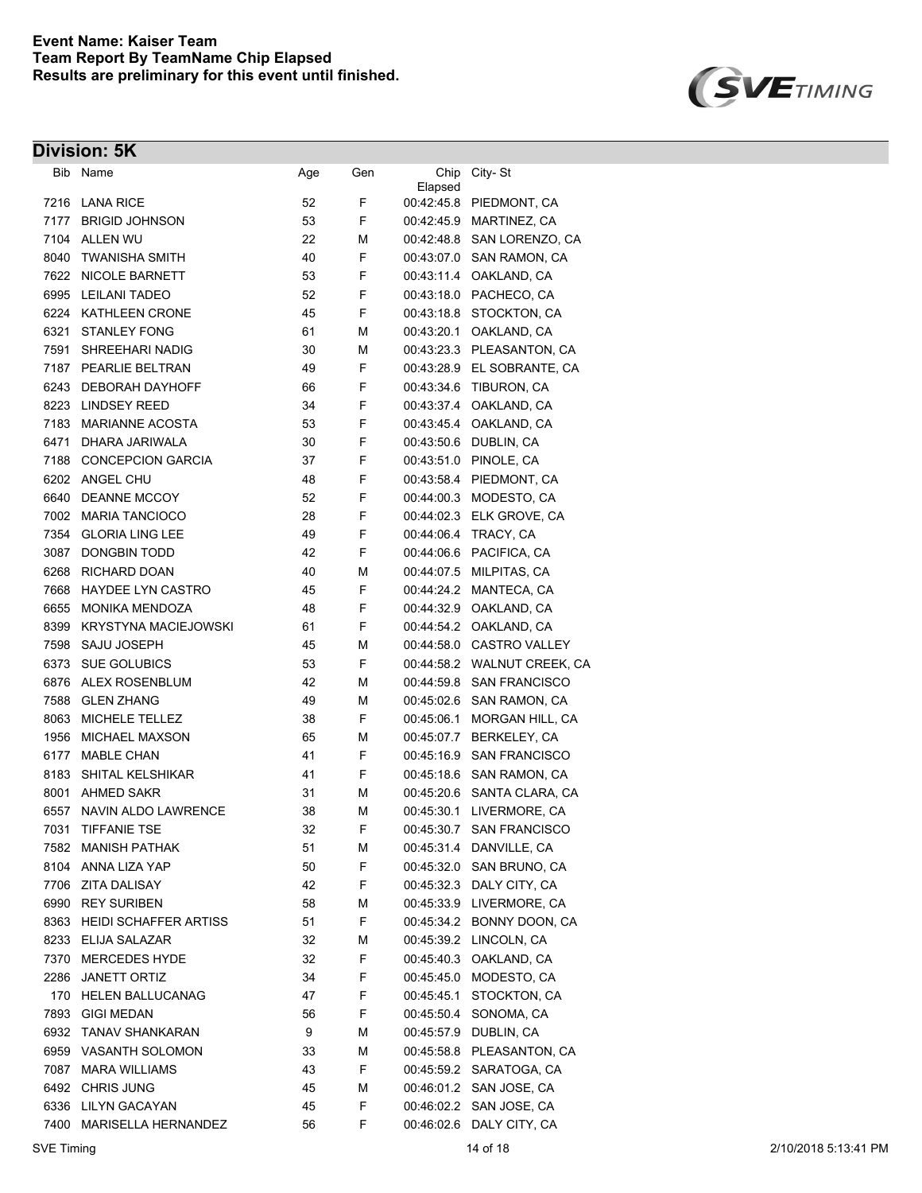

| Bib          | Name                                        | Age | Gen    | Chip                     | City-St                              |
|--------------|---------------------------------------------|-----|--------|--------------------------|--------------------------------------|
| 7216         | <b>LANA RICE</b>                            | 52  | F      | Elapsed                  | 00:42:45.8 PIEDMONT, CA              |
| 7177         | <b>BRIGID JOHNSON</b>                       | 53  | F      | 00:42:45.9               | MARTINEZ, CA                         |
| 7104         | <b>ALLEN WU</b>                             | 22  | М      | 00:42:48.8               | SAN LORENZO, CA                      |
| 8040         | <b>TWANISHA SMITH</b>                       | 40  | F      | 00:43:07.0               | SAN RAMON, CA                        |
| 7622         | <b>NICOLE BARNETT</b>                       | 53  | F      | 00:43:11.4               | OAKLAND, CA                          |
| 6995         | <b>LEILANI TADEO</b>                        | 52  | F      | 00:43:18.0               | PACHECO, CA                          |
| 6224         | KATHLEEN CRONE                              | 45  | F      | 00:43:18.8               | STOCKTON, CA                         |
| 6321         | <b>STANLEY FONG</b>                         | 61  | М      | 00:43:20.1               | OAKLAND, CA                          |
| 7591         | SHREEHARI NADIG                             | 30  | М      | 00:43:23.3               | PLEASANTON, CA                       |
| 7187         | PEARLIE BELTRAN                             | 49  | F      | 00:43:28.9               | EL SOBRANTE, CA                      |
| 6243         | <b>DEBORAH DAYHOFF</b>                      | 66  | F      | 00:43:34.6               | TIBURON, CA                          |
| 8223         | LINDSEY REED                                | 34  | F      | 00:43:37.4               | OAKLAND, CA                          |
| 7183         | <b>MARIANNE ACOSTA</b>                      | 53  | F      | 00:43:45.4               | OAKLAND, CA                          |
| 6471         | DHARA JARIWALA                              | 30  | F      | 00:43:50.6               | DUBLIN, CA                           |
| 7188         | <b>CONCEPCION GARCIA</b>                    |     | F      | 00:43:51.0               |                                      |
|              | ANGEL CHU                                   | 37  | F      |                          | PINOLE, CA                           |
| 6202         |                                             | 48  | F      | 00:43:58.4               | PIEDMONT, CA                         |
| 6640         | DEANNE MCCOY<br><b>MARIA TANCIOCO</b>       | 52  | F      | 00:44:00.3               | MODESTO, CA<br>ELK GROVE, CA         |
| 7002         |                                             | 28  |        | 00:44:02.3               |                                      |
| 7354         | <b>GLORIA LING LEE</b>                      | 49  | F      | 00:44:06.4               | TRACY, CA                            |
| 3087         | <b>DONGBIN TODD</b>                         | 42  | F      |                          | 00:44:06.6 PACIFICA, CA              |
| 6268         | <b>RICHARD DOAN</b>                         | 40  | М      | 00:44:07.5               | MILPITAS, CA                         |
| 7668         | <b>HAYDEE LYN CASTRO</b>                    | 45  | F      | 00:44:24.2               | MANTECA, CA                          |
| 6655         | <b>MONIKA MENDOZA</b>                       | 48  | F      | 00:44:32.9               | OAKLAND, CA                          |
| 8399         | <b>KRYSTYNA MACIEJOWSKI</b>                 | 61  | F      | 00:44:54.2               | OAKLAND, CA                          |
| 7598         | SAJU JOSEPH                                 | 45  | М      | 00:44:58.0               | <b>CASTRO VALLEY</b>                 |
| 6373         | <b>SUE GOLUBICS</b>                         | 53  | F      |                          | 00:44:58.2 WALNUT CREEK, CA          |
| 6876         | ALEX ROSENBLUM                              | 42  | М      | 00:44:59.8               | <b>SAN FRANCISCO</b>                 |
| 7588         | <b>GLEN ZHANG</b>                           | 49  | М      | 00:45:02.6               | SAN RAMON, CA                        |
| 8063         | MICHELE TELLEZ                              | 38  | F      | 00:45:06.1               | MORGAN HILL, CA                      |
| 1956<br>6177 | <b>MICHAEL MAXSON</b><br><b>MABLE CHAN</b>  | 65  | М<br>F | 00:45:07.7               | BERKELEY, CA<br><b>SAN FRANCISCO</b> |
|              |                                             | 41  |        | 00:45:16.9               |                                      |
| 8183         | SHITAL KELSHIKAR<br><b>AHMED SAKR</b>       | 41  | F      | 00:45:18.6               | SAN RAMON, CA                        |
| 8001         |                                             | 31  | М      | 00:45:20.6               | SANTA CLARA, CA                      |
| 6557         | <b>NAVIN ALDO LAWRENCE</b>                  | 38  | М<br>F | 00:45:30.1               | LIVERMORE, CA                        |
| 7031         | <b>TIFFANIE TSE</b><br><b>MANISH PATHAK</b> | 32  |        | 00:45:30.7               | <b>SAN FRANCISCO</b><br>DANVILLE, CA |
| 7582         | ANNA LIZA YAP                               | 51  | М      | 00:45:31.4               | SAN BRUNO, CA                        |
| 8104         | <b>ZITA DALISAY</b>                         | 50  | F      | 00:45:32.0<br>00:45:32.3 | DALY CITY, CA                        |
| 7706<br>6990 | <b>REY SURIBEN</b>                          | 42  | F      | 00:45:33.9               | LIVERMORE, CA                        |
|              |                                             | 58  | М      |                          | BONNY DOON, CA                       |
|              | 8363 HEIDI SCHAFFER ARTISS<br>ELIJA SALAZAR | 51  | F      | 00:45:34.2               | 00:45:39.2 LINCOLN, CA               |
| 8233         |                                             | 32  | М      |                          | OAKLAND, CA                          |
| 7370         | <b>MERCEDES HYDE</b>                        | 32  | F      | 00:45:40.3               |                                      |
| 2286         | <b>JANETT ORTIZ</b>                         | 34  | F<br>F | 00:45:45.0               | MODESTO, CA                          |
| 170<br>7893  | <b>HELEN BALLUCANAG</b>                     | 47  |        | 00:45:45.1               | STOCKTON, CA<br>SONOMA, CA           |
|              | <b>GIGI MEDAN</b><br><b>TANAV SHANKARAN</b> | 56  | F      | 00:45:50.4<br>00:45:57.9 | DUBLIN, CA                           |
| 6932         |                                             | 9   | М      |                          |                                      |
| 6959         | VASANTH SOLOMON                             | 33  | М      | 00:45:58.8               | PLEASANTON, CA                       |
| 7087         | <b>MARA WILLIAMS</b>                        | 43  | F      | 00:45:59.2               | SARATOGA, CA                         |
| 6492         | <b>CHRIS JUNG</b>                           | 45  | М<br>F | 00:46:01.2               | SAN JOSE, CA                         |
| 6336         | LILYN GACAYAN                               | 45  |        | 00:46:02.2               | SAN JOSE, CA                         |
| 7400         | MARISELLA HERNANDEZ                         | 56  | F      | 00:46:02.6               | DALY CITY, CA                        |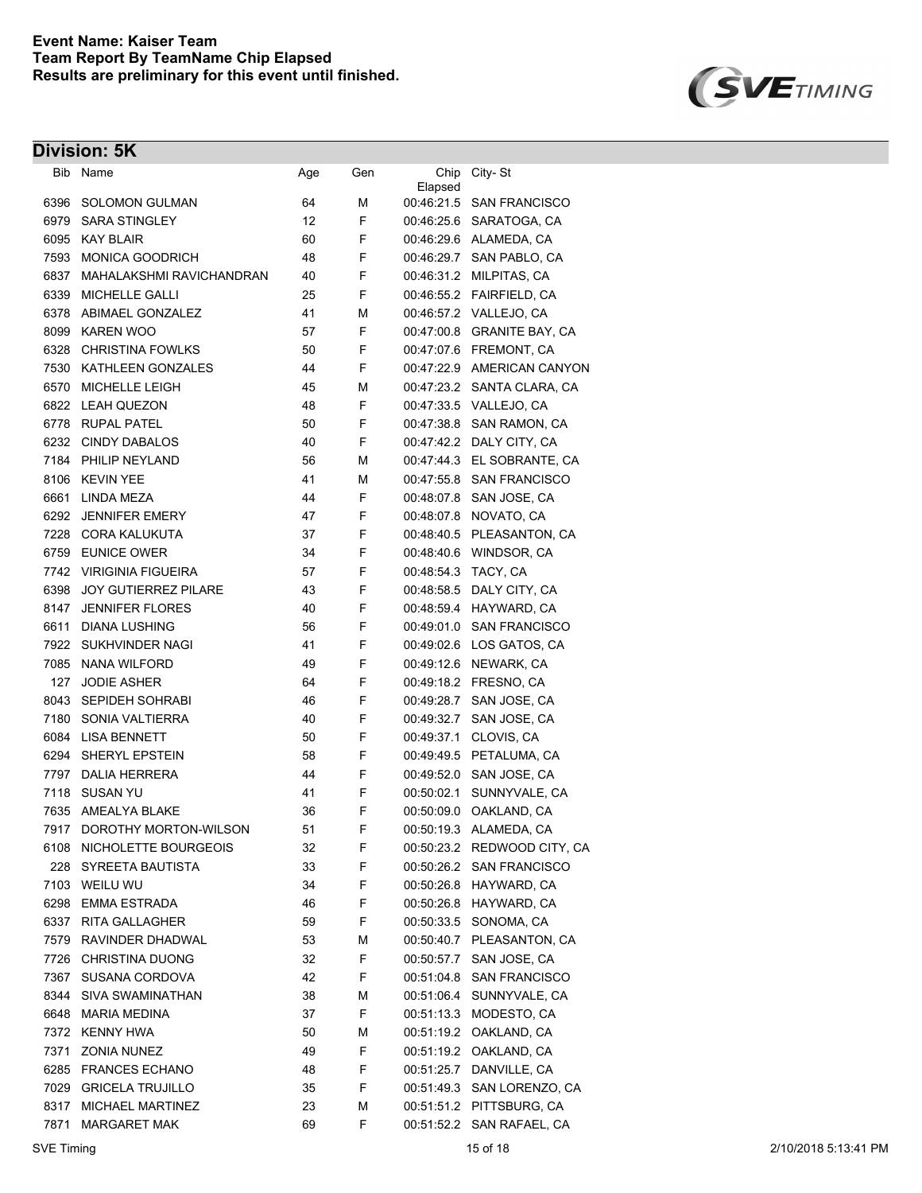

| Bib          | Name                        | Age      | Gen    | Chip       | City-St                     |
|--------------|-----------------------------|----------|--------|------------|-----------------------------|
| 6396         | <b>SOLOMON GULMAN</b>       | 64       | М      | Elapsed    | 00:46:21.5 SAN FRANCISCO    |
| 6979         | <b>SARA STINGLEY</b>        | 12       | F      |            | 00:46:25.6 SARATOGA, CA     |
| 6095         | <b>KAY BLAIR</b>            | 60       | F      |            | 00:46:29.6 ALAMEDA, CA      |
| 7593         | <b>MONICA GOODRICH</b>      | 48       | F      |            | 00:46:29.7 SAN PABLO, CA    |
| 6837         | MAHALAKSHMI RAVICHANDRAN    | 40       | F      |            | 00:46:31.2 MILPITAS, CA     |
| 6339         | MICHELLE GALLI              | 25       | F      |            |                             |
| 6378         | ABIMAEL GONZALEZ            | 41       | М      |            | 00:46:57.2 VALLEJO, CA      |
| 8099         | <b>KAREN WOO</b>            | 57       | F      |            | 00:47:00.8 GRANITE BAY, CA  |
|              | <b>CHRISTINA FOWLKS</b>     |          | F      |            | 00.47:07.6 FREMONT, CA      |
| 6328<br>7530 | KATHLEEN GONZALES           | 50<br>44 | F      |            | 00:47:22.9 AMERICAN CANYON  |
|              |                             |          |        |            |                             |
| 6570         | MICHELLE LEIGH              | 45<br>48 | М<br>F |            | 00:47:23.2 SANTA CLARA, CA  |
| 6822         | <b>LEAH QUEZON</b>          |          |        |            | 00:47:33.5 VALLEJO, CA      |
| 6778         | <b>RUPAL PATEL</b>          | 50       | F      | 00:47:38.8 | SAN RAMON, CA               |
| 6232         | <b>CINDY DABALOS</b>        | 40       | F      |            | 00:47:42.2 DALY CITY, CA    |
| 7184         | PHILIP NEYLAND              | 56       | М      | 00:47:44:3 | EL SOBRANTE, CA             |
| 8106         | <b>KEVIN YEE</b>            | 41       | М      | 00:47:55.8 | <b>SAN FRANCISCO</b>        |
| 6661         | LINDA MEZA                  | 44       | F      | 00:48:07.8 | SAN JOSE, CA                |
| 6292         | <b>JENNIFER EMERY</b>       | 47       | F      | 00:48:07.8 | NOVATO, CA                  |
| 7228         | <b>CORA KALUKUTA</b>        | 37       | F      | 00:48:40.5 | PLEASANTON, CA              |
| 6759         | <b>EUNICE OWER</b>          | 34       | F      | 00:48:40.6 | WINDSOR, CA                 |
| 7742         | <b>VIRIGINIA FIGUEIRA</b>   | 57       | F      | 00.48.54.3 | TACY, CA                    |
| 6398         | <b>JOY GUTIERREZ PILARE</b> | 43       | F      | 00:48:58.5 | DALY CITY, CA               |
| 8147         | <b>JENNIFER FLORES</b>      | 40       | F      | 00:48:59.4 | HAYWARD, CA                 |
| 6611         | <b>DIANA LUSHING</b>        | 56       | F      | 00:49:01.0 | <b>SAN FRANCISCO</b>        |
| 7922         | SUKHVINDER NAGI             | 41       | F      |            | 00:49:02.6 LOS GATOS, CA    |
| 7085         | <b>NANA WILFORD</b>         | 49       | F      |            | 00:49:12.6 NEWARK, CA       |
| 127          | <b>JODIE ASHER</b>          | 64       | F      |            | 00.49.18.2 FRESNO, CA       |
| 8043         | <b>SEPIDEH SOHRABI</b>      | 46       | F      | 00:49:28.7 | SAN JOSE, CA                |
| 7180         | SONIA VALTIERRA             | 40       | F      | 00:49:32.7 | SAN JOSE, CA                |
| 6084         | <b>LISA BENNETT</b>         | 50       | F      | 00:49:37.1 | CLOVIS, CA                  |
| 6294         | <b>SHERYL EPSTEIN</b>       | 58       | F      | 00:49:49.5 | PETALUMA, CA                |
| 7797         | <b>DALIA HERRERA</b>        | 44       | F      | 00:49:52.0 | SAN JOSE, CA                |
| 7118         | <b>SUSAN YU</b>             | 41       | F      | 00:50:02.1 | SUNNYVALE, CA               |
| 7635         | AMEALYA BLAKE               | 36       | F      |            | 00:50:09.0 OAKLAND, CA      |
|              | 7917 DOROTHY MORTON-WILSON  | 51       | F      |            | 00:50:19.3 ALAMEDA, CA      |
|              | 6108 NICHOLETTE BOURGEOIS   | 32       | F.     |            | 00:50:23.2 REDWOOD CITY, CA |
| 228          | SYREETA BAUTISTA            | 33       | F      |            | 00:50:26.2 SAN FRANCISCO    |
|              | 7103 WEILU WU               | 34       | F      |            | 00:50:26.8 HAYWARD, CA      |
|              | 6298 EMMA ESTRADA           | 46       | F      |            | 00:50:26.8 HAYWARD, CA      |
| 6337         | <b>RITA GALLAGHER</b>       | 59       | F      |            | 00:50:33.5 SONOMA, CA       |
|              | 7579 RAVINDER DHADWAL       | 53       | М      |            | 00:50:40.7 PLEASANTON, CA   |
| 7726         | CHRISTINA DUONG             | 32       | F      | 00:50:57.7 | SAN JOSE, CA                |
| 7367         | SUSANA CORDOVA              | 42       | F      |            | 00:51:04.8 SAN FRANCISCO    |
| 8344         | SIVA SWAMINATHAN            | 38       | М      |            | 00:51:06.4 SUNNYVALE, CA    |
| 6648         | <b>MARIA MEDINA</b>         | 37       | F      | 00:51:13.3 | MODESTO, CA                 |
| 7372         | <b>KENNY HWA</b>            | 50       | М      |            | 00:51:19.2 OAKLAND, CA      |
| 7371         | ZONIA NUNEZ                 | 49       | F      |            | 00:51:19.2 OAKLAND, CA      |
| 6285         | <b>FRANCES ECHANO</b>       | 48       | F      |            | 00:51:25.7 DANVILLE, CA     |
| 7029         | <b>GRICELA TRUJILLO</b>     | 35       | F      |            | 00:51:49.3 SAN LORENZO, CA  |
| 8317         | MICHAEL MARTINEZ            | 23       | М      |            | 00:51:51.2 PITTSBURG, CA    |
| 7871         | <b>MARGARET MAK</b>         | 69       | F      |            | 00:51:52.2 SAN RAFAEL, CA   |
|              |                             |          |        |            |                             |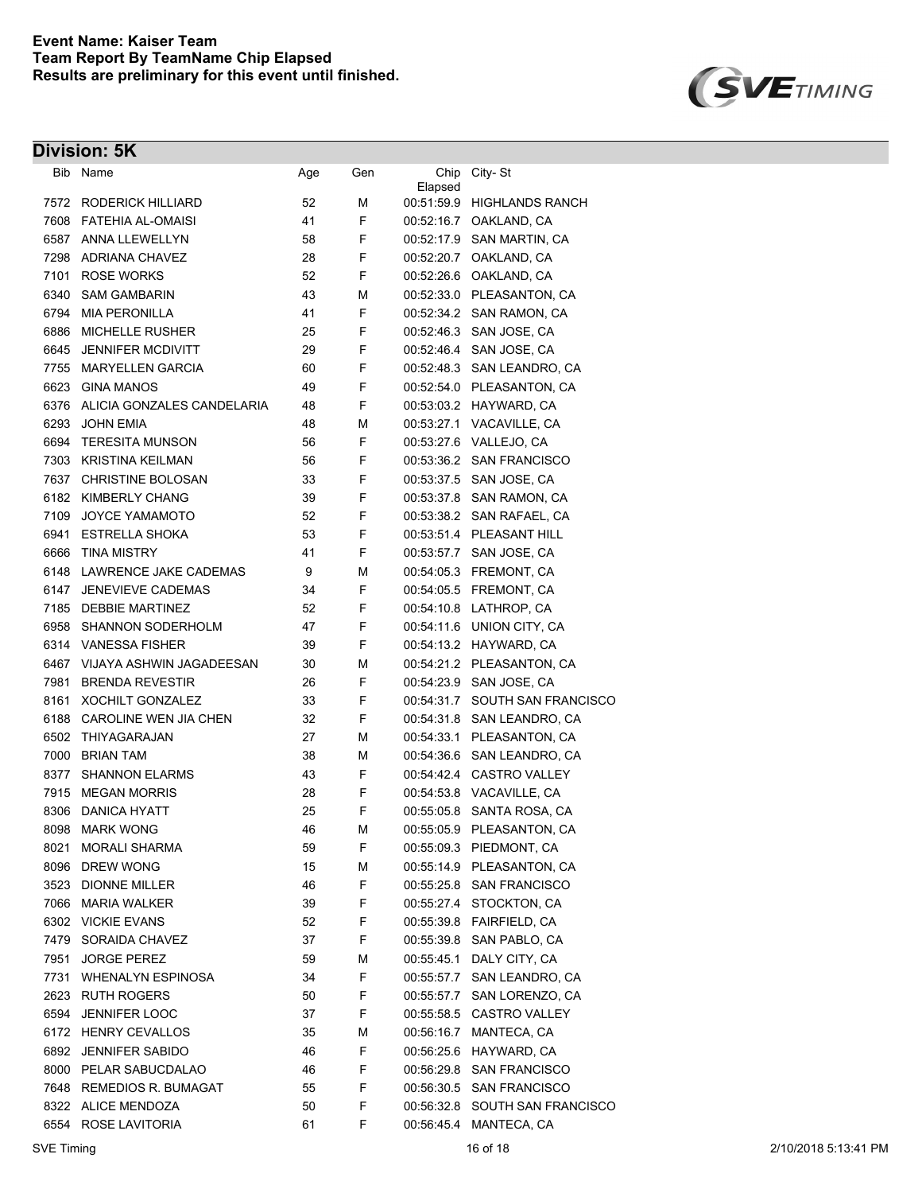



|      | Bib Name                        | Age | Gen | Chip<br>Elapsed | City-St                    |
|------|---------------------------------|-----|-----|-----------------|----------------------------|
|      | 7572 RODERICK HILLIARD          | 52  | М   |                 | 00:51:59.9 HIGHLANDS RANCH |
|      | 7608 FATEHIA AL-OMAISI          | 41  | F   |                 | 00:52:16.7 OAKLAND, CA     |
|      | 6587 ANNA LLEWELLYN             | 58  | F   |                 | 00:52:17.9 SAN MARTIN, CA  |
| 7298 | <b>ADRIANA CHAVEZ</b>           | 28  | F   | 00:52:20.7      | OAKLAND, CA                |
| 7101 | <b>ROSE WORKS</b>               | 52  | F   |                 | 00:52:26.6 OAKLAND, CA     |
| 6340 | <b>SAM GAMBARIN</b>             | 43  | М   |                 | 00:52:33.0 PLEASANTON, CA  |
| 6794 | <b>MIA PERONILLA</b>            | 41  | F   |                 | 00:52:34.2 SAN RAMON, CA   |
| 6886 | <b>MICHELLE RUSHER</b>          | 25  | F   | 00:52:46.3      | SAN JOSE, CA               |
| 6645 | <b>JENNIFER MCDIVITT</b>        | 29  | F   |                 | 00:52:46.4 SAN JOSE, CA    |
| 7755 | <b>MARYELLEN GARCIA</b>         | 60  | F   |                 | 00:52:48.3 SAN LEANDRO, CA |
| 6623 | <b>GINA MANOS</b>               | 49  | F   |                 | 00:52:54.0 PLEASANTON, CA  |
|      | 6376 ALICIA GONZALES CANDELARIA | 48  | F   |                 | 00:53:03.2 HAYWARD, CA     |
| 6293 | <b>JOHN EMIA</b>                | 48  | М   |                 | 00:53:27.1 VACAVILLE, CA   |
| 6694 | <b>TERESITA MUNSON</b>          | 56  | F   |                 | 00:53:27.6 VALLEJO, CA     |
|      | 7303 KRISTINA KEILMAN           | 56  | F   |                 | 00:53:36.2 SAN FRANCISCO   |
|      | 7637 CHRISTINE BOLOSAN          | 33  | F   |                 | 00:53:37.5 SAN JOSE, CA    |
|      | 6182 KIMBERLY CHANG             | 39  | F   |                 | 00:53:37.8 SAN RAMON, CA   |
| 7109 | <b>JOYCE YAMAMOTO</b>           | 52  | F   |                 | 00:53:38.2 SAN RAFAEL, CA  |
|      | 6941 ESTRELLA SHOKA             | 53  | F   |                 | 00:53:51.4 PLEASANT HILL   |
| 6666 | TINA MISTRY                     | 41  | F   |                 | 00:53:57.7 SAN JOSE, CA    |
|      | 6148 LAWRENCE JAKE CADEMAS      | 9   | М   |                 | 00:54:05.3 FREMONT, CA     |
| 6147 | <b>JENEVIEVE CADEMAS</b>        | 34  | F   |                 | 00:54:05.5 FREMONT, CA     |
|      | 7185 DEBBIE MARTINEZ            | 52  | F   |                 | 00:54:10.8 LATHROP, CA     |
| 6958 | SHANNON SODERHOLM               | 47  | F   |                 | 00:54:11.6 UNION CITY, CA  |
|      | 6314 VANESSA FISHER             | 39  | F   |                 | 00:54:13.2 HAYWARD, CA     |
| 6467 | VIJAYA ASHWIN JAGADEESAN        | 30  | М   |                 | 00:54:21.2 PLEASANTON, CA  |
| 7981 | <b>BRENDA REVESTIR</b>          | 26  | F   | 00:54:23.9      | SAN JOSE, CA               |
| 8161 | <b>XOCHILT GONZALEZ</b>         | 33  | F   | 00:54:31.7      | SOUTH SAN FRANCISCO        |
| 6188 | CAROLINE WEN JIA CHEN           | 32  | F   |                 | 00:54:31.8 SAN LEANDRO, CA |
| 6502 | THIYAGARAJAN                    | 27  | М   |                 | 00:54:33.1 PLEASANTON, CA  |
| 7000 | <b>BRIAN TAM</b>                | 38  | М   | 00:54:36.6      | SAN LEANDRO, CA            |
| 8377 | <b>SHANNON ELARMS</b>           | 43  | F   |                 | 00:54:42.4 CASTRO VALLEY   |
| 7915 | <b>MEGAN MORRIS</b>             | 28  | F   |                 | 00:54:53.8 VACAVILLE, CA   |
| 8306 | DANICA HYATT                    | 25  | F   |                 | 00:55:05.8 SANTA ROSA, CA  |
| 8098 | <b>MARK WONG</b>                | 46  | М   |                 | 00:55:05.9 PLEASANTON, CA  |
| 8021 | <b>MORALI SHARMA</b>            | 59  | F   |                 | 00:55:09.3 PIEDMONT, CA    |
| 8096 | <b>DREW WONG</b>                | 15  | М   |                 | 00:55:14.9 PLEASANTON, CA  |
| 3523 | <b>DIONNE MILLER</b>            | 46  | F   |                 | 00:55:25.8 SAN FRANCISCO   |
| 7066 | <b>MARIA WALKER</b>             | 39  | F   |                 | 00:55:27.4 STOCKTON, CA    |
|      | 6302 VICKIE EVANS               | 52  | F   |                 |                            |
| 7479 | SORAIDA CHAVEZ                  | 37  | F   | 00:55:39.8      | SAN PABLO, CA              |
| 7951 | <b>JORGE PEREZ</b>              | 59  | М   | 00:55:45.1      | DALY CITY, CA              |
| 7731 | <b>WHENALYN ESPINOSA</b>        | 34  | F   | 00:55:57.7      | SAN LEANDRO, CA            |
|      | 2623 RUTH ROGERS                | 50  | F   | 00:55:57.7      | SAN LORENZO, CA            |
| 6594 | JENNIFER LOOC                   | 37  | F   |                 | 00:55:58.5 CASTRO VALLEY   |
|      | 6172 HENRY CEVALLOS             | 35  | М   | 00:56:16.7      | MANTECA, CA                |
|      | 6892 JENNIFER SABIDO            | 46  | F   |                 | 00:56:25.6 HAYWARD, CA     |
|      | 8000 PELAR SABUCDALAO           | 46  | F   |                 | 00:56:29.8 SAN FRANCISCO   |
|      | 7648 REMEDIOS R. BUMAGAT        | 55  | F   |                 | 00:56:30.5 SAN FRANCISCO   |
|      | 8322 ALICE MENDOZA              | 50  | F   | 00:56:32.8      | SOUTH SAN FRANCISCO        |
|      | 6554 ROSE LAVITORIA             | 61  | F   | 00:56:45.4      | MANTECA, CA                |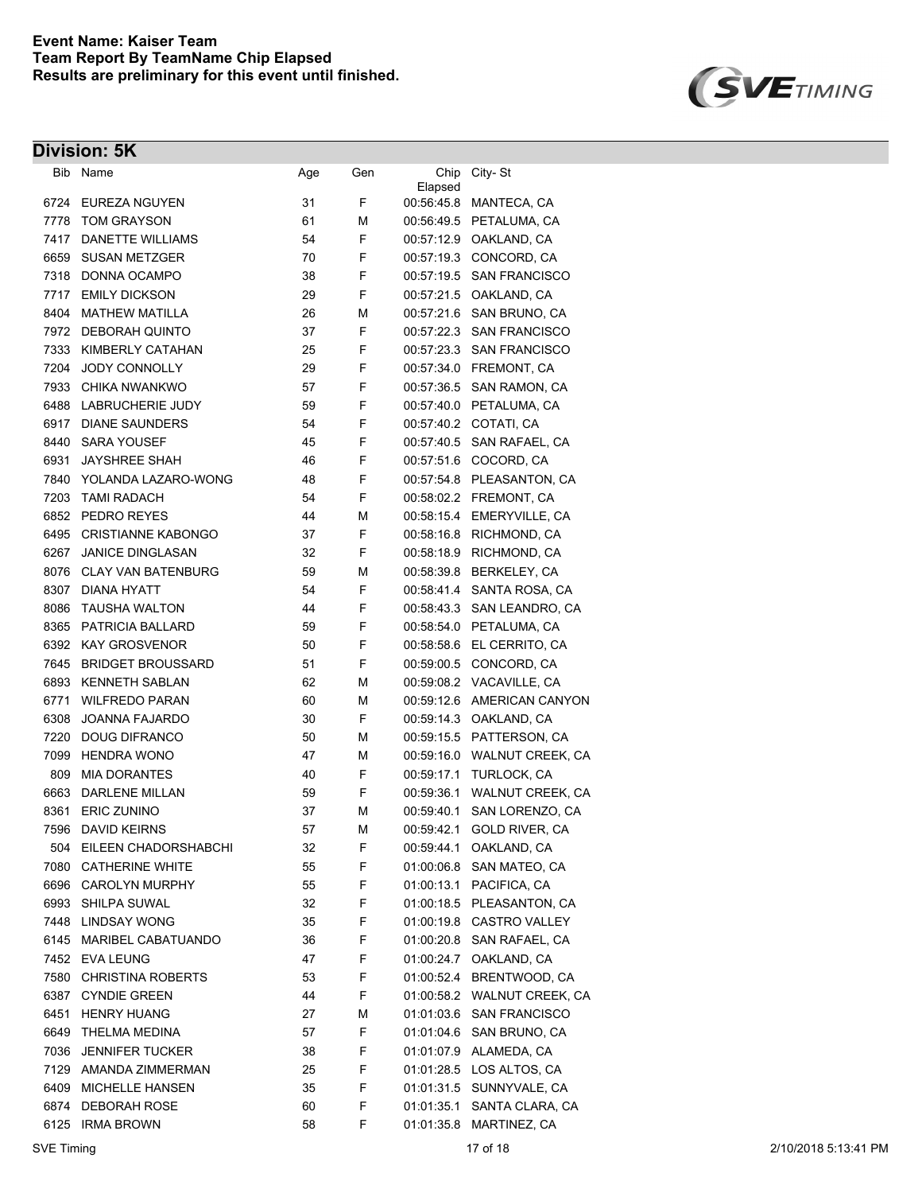

| Bib  | Name                      | Age | Gen | Chip                  | City-St                  |
|------|---------------------------|-----|-----|-----------------------|--------------------------|
| 6724 | EUREZA NGUYEN             | 31  | F   | Elapsed<br>00:56:45.8 | MANTECA, CA              |
| 7778 | <b>TOM GRAYSON</b>        | 61  | М   |                       | 00:56:49.5 PETALUMA, CA  |
| 7417 | DANETTE WILLIAMS          | 54  | F   | 00:57:12.9            | OAKLAND, CA              |
| 6659 | <b>SUSAN METZGER</b>      | 70  | F   | 00:57:19.3            | CONCORD, CA              |
| 7318 | DONNA OCAMPO              | 38  | F   | 00:57:19.5            | <b>SAN FRANCISCO</b>     |
| 7717 | <b>EMILY DICKSON</b>      | 29  | F   | 00:57:21.5            | OAKLAND, CA              |
| 8404 | <b>MATHEW MATILLA</b>     | 26  | М   | 00:57:21.6            | SAN BRUNO, CA            |
| 7972 | DEBORAH QUINTO            | 37  | F   | 00:57:22.3            | <b>SAN FRANCISCO</b>     |
| 7333 | KIMBERLY CATAHAN          | 25  | F   | 00:57:23.3            | <b>SAN FRANCISCO</b>     |
| 7204 | <b>JODY CONNOLLY</b>      | 29  | F   | 00:57:34.0            | FREMONT, CA              |
| 7933 | CHIKA NWANKWO             | 57  | F   | 00:57:36.5            | SAN RAMON, CA            |
| 6488 | <b>LABRUCHERIE JUDY</b>   | 59  | F   | 00:57:40.0            | PETALUMA, CA             |
| 6917 | <b>DIANE SAUNDERS</b>     | 54  | F   | 00:57:40.2            | COTATI, CA               |
| 8440 | <b>SARA YOUSEF</b>        | 45  | F   | 00:57:40.5            | SAN RAFAEL, CA           |
| 6931 | <b>JAYSHREE SHAH</b>      | 46  | F   | 00:57:51.6            | COCORD, CA               |
| 7840 | YOLANDA LAZARO-WONG       | 48  | F   | 00:57:54.8            | PLEASANTON, CA           |
| 7203 | <b>TAMI RADACH</b>        | 54  | F   | 00:58:02.2            | FREMONT, CA              |
| 6852 | PEDRO REYES               | 44  | М   | 00:58:15.4            | EMERYVILLE, CA           |
| 6495 | <b>CRISTIANNE KABONGO</b> | 37  | F   | 00:58:16.8            | RICHMOND, CA             |
| 6267 | <b>JANICE DINGLASAN</b>   | 32  | F   | 00:58:18.9            | RICHMOND, CA             |
| 8076 | <b>CLAY VAN BATENBURG</b> | 59  | М   | 00:58:39.8            | BERKELEY, CA             |
| 8307 | DIANA HYATT               | 54  | F   | 00:58:41.4            | SANTA ROSA, CA           |
| 8086 | <b>TAUSHA WALTON</b>      | 44  | F   | 00:58:43.3            | SAN LEANDRO, CA          |
| 8365 | PATRICIA BALLARD          | 59  | F   | 00:58:54.0            | PETALUMA, CA             |
| 6392 | <b>KAY GROSVENOR</b>      | 50  | F   | 00:58:58.6            | EL CERRITO, CA           |
| 7645 | <b>BRIDGET BROUSSARD</b>  | 51  | F   | 00:59:00.5            | CONCORD, CA              |
| 6893 | <b>KENNETH SABLAN</b>     | 62  | М   | 00:59:08.2            | VACAVILLE, CA            |
| 6771 | <b>WILFREDO PARAN</b>     | 60  | М   | 00:59:12.6            | AMERICAN CANYON          |
| 6308 | <b>JOANNA FAJARDO</b>     | 30  | F   | 00:59:14.3            | OAKLAND, CA              |
| 7220 | <b>DOUG DIFRANCO</b>      | 50  | М   | 00:59:15.5            | PATTERSON, CA            |
| 7099 | <b>HENDRA WONO</b>        | 47  | М   | 00:59:16.0            | <b>WALNUT CREEK, CA</b>  |
| 809  | <b>MIA DORANTES</b>       | 40  | F   | 00:59:17.1            | TURLOCK, CA              |
| 6663 | <b>DARLENE MILLAN</b>     | 59  | F   | 00:59:36.1            | <b>WALNUT CREEK, CA</b>  |
| 8361 | <b>ERIC ZUNINO</b>        | 37  | М   | 00:59:40.1            | SAN LORENZO, CA          |
| 7596 | <b>DAVID KEIRNS</b>       | 57  | М   | 00:59:42.1            | <b>GOLD RIVER, CA</b>    |
|      | 504 EILEEN CHADORSHABCHI  | 32  | F   | 00:59:44.1            | OAKLAND, CA              |
| 7080 | <b>CATHERINE WHITE</b>    | 55  | F   | 01:00:06.8            | SAN MATEO, CA            |
| 6696 | <b>CAROLYN MURPHY</b>     | 55  | F   | 01:00:13.1            | PACIFICA, CA             |
| 6993 | SHILPA SUWAL              | 32  | F   | 01:00:18.5            | PLEASANTON, CA           |
| 7448 | <b>LINDSAY WONG</b>       | 35  | F   | 01:00:19.8            | CASTRO VALLEY            |
| 6145 | MARIBEL CABATUANDO        | 36  | F   | 01:00:20.8            | SAN RAFAEL, CA           |
|      | 7452 EVA LEUNG            | 47  | F   | 01:00:24.7            | OAKLAND, CA              |
| 7580 | <b>CHRISTINA ROBERTS</b>  | 53  | F   | 01:00:52.4            | BRENTWOOD, CA            |
| 6387 | <b>CYNDIE GREEN</b>       | 44  | F   | 01:00:58.2            | <b>WALNUT CREEK, CA</b>  |
| 6451 | <b>HENRY HUANG</b>        | 27  | М   | 01:01:03.6            | <b>SAN FRANCISCO</b>     |
| 6649 | THELMA MEDINA             | 57  | F   |                       | 01:01:04.6 SAN BRUNO, CA |
| 7036 | <b>JENNIFER TUCKER</b>    | 38  | F   |                       | 01:01:07.9 ALAMEDA, CA   |
| 7129 | AMANDA ZIMMERMAN          | 25  | F   |                       | 01:01:28.5 LOS ALTOS, CA |
| 6409 | <b>MICHELLE HANSEN</b>    | 35  | F   |                       | 01:01:31.5 SUNNYVALE, CA |
|      | 6874 DEBORAH ROSE         | 60  | F   | 01:01:35.1            | SANTA CLARA, CA          |
|      | 6125 IRMA BROWN           | 58  | F   | 01:01:35.8            | MARTINEZ, CA             |
|      |                           |     |     |                       |                          |